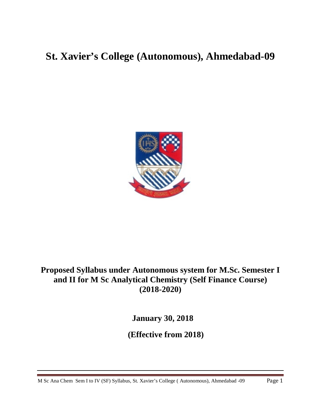# **St. Xavier's College (Autonomous), Ahmedabad-09**



# **Proposed Syllabus under Autonomous system for M.Sc. Semester I and II for M Sc Analytical Chemistry (Self Finance Course) (2018-2020)**

**January 30, 2018**

 **(Effective from 2018)**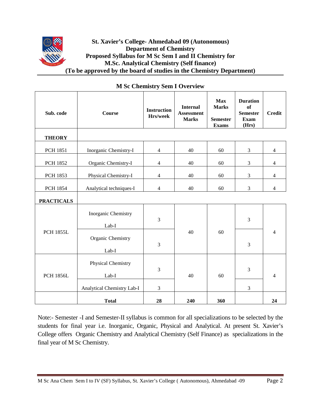

### **St. Xavier's College- Ahmedabad 09 (Autonomous) Department of Chemistry Proposed Syllabus for M Sc Sem I and II Chemistry for M.Sc. Analytical Chemistry (Self finance) (To be approved by the board of studies in the Chemistry Department)**

| Sub. code         | <b>Course</b>                      | <b>Instruction</b><br>Hrs/week | <b>Internal</b><br><b>Assessment</b><br><b>Marks</b> | <b>Max</b><br><b>Marks</b><br><b>Semester</b><br><b>Exams</b> | <b>Duration</b><br><b>of</b><br><b>Semester</b><br><b>Exam</b><br>(Hrs) | <b>Credit</b>  |
|-------------------|------------------------------------|--------------------------------|------------------------------------------------------|---------------------------------------------------------------|-------------------------------------------------------------------------|----------------|
| <b>THEORY</b>     |                                    |                                |                                                      |                                                               |                                                                         |                |
| <b>PCH 1851</b>   | Inorganic Chemistry-I              | $\overline{4}$                 | 40                                                   | 60                                                            | 3                                                                       | $\overline{4}$ |
| <b>PCH 1852</b>   | Organic Chemistry-I                | $\overline{4}$                 | 40                                                   | 60                                                            | 3                                                                       | $\overline{4}$ |
| PCH 1853          | Physical Chemistry-I               | $\overline{4}$                 | 40                                                   | 60                                                            | $\mathfrak{Z}$                                                          | $\overline{4}$ |
| <b>PCH 1854</b>   | Analytical techniques-I            | $\overline{4}$                 | 40                                                   | 60                                                            | 3                                                                       | $\overline{4}$ |
| <b>PRACTICALS</b> |                                    |                                |                                                      |                                                               |                                                                         |                |
| <b>PCH 1855L</b>  | Inorganic Chemistry<br>Lab-I       | $\overline{3}$                 |                                                      | 60                                                            | 3                                                                       |                |
|                   | Organic Chemistry<br>Lab-I         | 3                              | 40                                                   |                                                               | 3                                                                       | 4              |
| <b>PCH 1856L</b>  | <b>Physical Chemistry</b><br>Lab-I | 3                              | 40                                                   | 60                                                            | 3                                                                       | 4              |
|                   | Analytical Chemistry Lab-I         | 3                              |                                                      |                                                               | 3                                                                       |                |
|                   | <b>Total</b>                       | 28                             | 240                                                  | 360                                                           |                                                                         | 24             |

# **M Sc Chemistry Sem I Overview**

Note:- Semester -I and Semester-II syllabus is common for all specializations to be selected by the students for final year i.e. Inorganic, Organic, Physical and Analytical. At present St. Xavier's College offers Organic Chemistry and Analytical Chemistry (Self Finance) as specializations in the final year of M Sc Chemistry.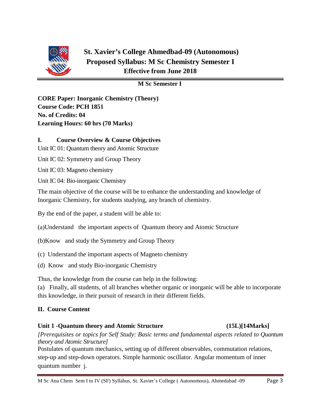

# **St. Xavier's College Ahmedbad-09 (Autonomous) Proposed Syllabus: M Sc Chemistry Semester I Effective from June 2018**

# **M Sc Semester I**

**CORE Paper: Inorganic Chemistry (Theory) Course Code: PCH 1851 No. of Credits: 04 Learning Hours: 60 hrs (70 Marks)**

# **I. Course Overview & Course Objectives**

Unit IC 01: Quantum theory and Atomic Structure

Unit IC 02: Symmetry and Group Theory

Unit IC 03: Magneto chemistry

Unit IC 04: Bio-inorganic Chemistry

The main objective of the course will be to enhance the understanding and knowledge of Inorganic Chemistry, for students studying, any branch of chemistry.

By the end of the paper, a student will be able to:

(a)Understand the important aspects of Quantum theory and Atomic Structure

(b)Know and study the Symmetry and Group Theory

(c) Understand the important aspects of Magneto chemistry

(d) Know and study Bio-inorganic Chemistry

Thus, the knowledge from the course can help in the following:

(a) Finally, all students, of all branches whether organic or inorganic will be able to incorporate this knowledge, in their pursuit of research in their different fields.

# **II. Course Content**

### **Unit 1 -Quantum theory and Atomic Structure (15L)[14Marks]**

*[Prerequisites or topics for Self Study: Basic terms and fundamental aspects related to Quantum theory and Atomic Structure]*

Postulates of quantum mechanics, setting up of different observables, commutation relations, step-up and step-down operators. Simple harmonic oscillator. Angular momentum of inner quantum number j.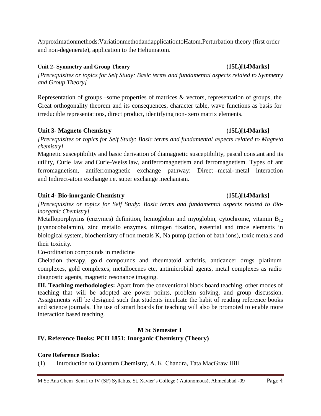Approximationmethods:VariationmethodandapplicationtoHatom.Perturbation theory (first order and non-degenerate), application to the Heliumatom.

### **Unit 2- Symmetry and Group Theory (15L)[14Marks]**

*[Prerequisites or topics for Self Study: Basic terms and fundamental aspects related to Symmetry and Group Theory]*

Representation of groups –some properties of matrices  $\&$  vectors, representation of groups, the Great orthogonality theorem and its consequences, character table, wave functions as basis for irreducible representations, direct product, identifying non- zero matrix elements.

# **Unit 3- Magneto Chemistry (15L)[14Marks]**

*[Prerequisites or topics for Self Study: Basic terms and fundamental aspects related to Magneto chemistry]*

Magnetic susceptibility and basic derivation of diamagnetic susceptibility, pascal constant and its utility, Curie law and Curie-Weiss law, antiferromagnetism and ferromagnetism. Types of ant ferromagnetism, antiferromagnetic exchange pathway: Direct –metal- metal interaction and Indirect-atom exchange i.e. super exchange mechanism.

### **Unit 4- Bio-inorganic Chemistry (15L)[14Marks]**

*[Prerequisites or topics for Self Study: Basic terms and fundamental aspects related to Bioinorganic Chemistry]*

Metalloporphyrins (enzymes) definition, hemoglobin and myoglobin, cytochrome, vitamin  $B_{12}$ (cyanocobalamin), zinc metallo enzymes, nitrogen fixation, essential and trace elements in biological system, biochemistry of non metals K, Na pump (action of bath ions), toxic metals and their toxicity.

Co-ordination compounds in medicine

Chelation therapy, gold compounds and rheumatoid arthritis, anticancer drugs –platinum complexes, gold complexes, metallocenes etc, antimicrobial agents, metal complexes as radio diagnostic agents, magnetic resonance imaging.

**III. Teaching methodologies:** Apart from the conventional black board teaching, other modes of teaching that will be adopted are power points, problem solving, and group discussion. Assignments will be designed such that students inculcate the habit of reading reference books and science journals. The use of smart boards for teaching will also be promoted to enable more interaction based teaching.

# **M Sc Semester I**

# **IV. Reference Books: PCH 1851: Inorganic Chemistry (Theory)**

### **Core Reference Books:**

(1) Introduction to Quantum Chemistry, A. K. Chandra, Tata MacGraw Hill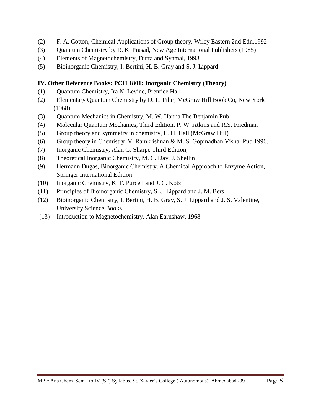- (2) F. A. Cotton, Chemical Applications of Group theory, Wiley Eastern 2nd Edn.1992
- (3) Quantum Chemistry by R. K. Prasad, New Age International Publishers (1985)
- (4) Elements of Magnetochemistry, Dutta and Syamal, 1993
- (5) Bioinorganic Chemistry, I. Bertini, H. B. Gray and S. J. Lippard

# **IV. Other Reference Books: PCH 1801: Inorganic Chemistry (Theory)**

- (1) Quantum Chemistry, Ira N. Levine, Prentice Hall
- (2) Elementary Quantum Chemistry by D. L. Pilar, McGraw Hill Book Co, New York (1968)
- (3) Quantum Mechanics in Chemistry, M. W. Hanna The Benjamin Pub.
- (4) Molecular Quantum Mechanics, Third Edition, P. W. Atkins and R.S. Friedman
- (5) Group theory and symmetry in chemistry, L. H. Hall (McGraw Hill)
- (6) Group theory in Chemistry V. Ramkrishnan & M. S. Gopinadhan Vishal Pub.1996.
- (7) Inorganic Chemistry, Alan G. Sharpe Third Edition,
- (8) Theoretical Inorganic Chemistry, M. C. Day, J. Shellin
- (9) Hermann Dugas, Bioorganic Chemistry, A Chemical Approach to Enzyme Action, Springer International Edition
- (10) Inorganic Chemistry, K. F. Purcell and J. C. Kotz.
- (11) Principles of Bioinorganic Chemistry, S. J. Lippard and J. M. Bers
- (12) Bioinorganic Chemistry, I. Bertini, H. B. Gray, S. J. Lippard and J. S. Valentine, University Science Books
- (13) Introduction to Magnetochemistry, Alan Earnshaw, 1968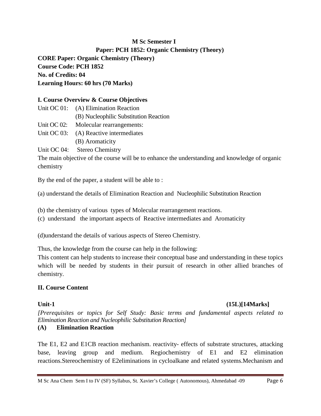# **M Sc Semester I Paper: PCH 1852: Organic Chemistry (Theory) CORE Paper: Organic Chemistry (Theory) Course Code: PCH 1852 No. of Credits: 04 Learning Hours: 60 hrs (70 Marks)**

#### **I. Course Overview & Course Objectives**

- Unit OC 01: (A) Elimination Reaction (B) Nucleophilic Substitution Reaction
- Unit OC 02: Molecular rearrangements:
- Unit OC 03: (A) Reactive intermediates (B) Aromaticity

Unit OC 04: Stereo Chemistry

The main objective of the course will be to enhance the understanding and knowledge of organic chemistry

By the end of the paper, a student will be able to :

(a) understand the details of Elimination Reaction and Nucleophilic Substitution Reaction

- (b) the chemistry of various types of Molecular rearrangement reactions.
- (c) understand the important aspects of Reactive intermediates and Aromaticity

(d)understand the details of various aspects of Stereo Chemistry.

Thus, the knowledge from the course can help in the following:

This content can help students to increase their conceptual base and understanding in these topics which will be needed by students in their pursuit of research in other allied branches of chemistry.

#### **II. Course Content**

#### **Unit-1 (15L)[14Marks]**

*[Prerequisites or topics for Self Study: Basic terms and fundamental aspects related to Elimination Reaction and Nucleophilic Substitution Reaction]*

# **(A) Elimination Reaction**

The E1, E2 and E1CB reaction mechanism. reactivity- effects of substrate structures, attacking base, leaving group and medium. Regiochemistry of E1 and E2 elimination reactions.Stereochemistry of E2eliminations in cycloalkane and related systems.Mechanism and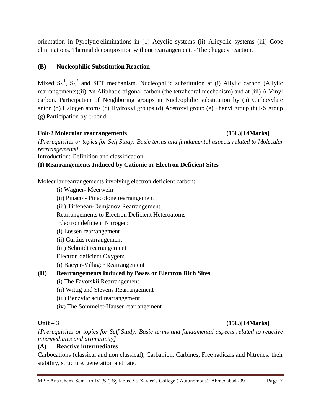orientation in Pyrolytic eliminations in (1) Acyclic systems (ii) Alicyclic systems (iii) Cope eliminations. Thermal decomposition without rearrangement. - The chugaev reaction.

# **(B) Nucleophilic Substitution Reaction**

Mixed  $S_N^1$ ,  $S_N^2$  and SET mechanism. Nucleophilic substitution at (i) Allylic carbon (Allylic rearrangements)(ii) An Aliphatic trigonal carbon (the tetrahedral mechanism) and at (iii) A Vinyl carbon. Participation of Neighboring groups in Nucleophilic substitution by (a) Carboxylate anion (b) Halogen atoms (c) Hydroxyl groups (d) Acetoxyl group (e) Phenyl group (f) RS group (g) Participation by  $\pi$ -bond.

# **Unit-2 Molecular rearrangements (15L)[14Marks]**

*[Prerequisites or topics for Self Study: Basic terms and fundamental aspects related to Molecular rearrangements]* Introduction: Definition and classification.

**(I) Rearrangements Induced by Cationic or Electron Deficient Sites**

Molecular rearrangements involving electron deficient carbon:

(i) Wagner- Meerwein

(ii) Pinacol- Pinacolone rearrangement

(iii) Tiffeneau-Demjanov Rearrangement

Rearrangements to Electron Deficient Heteroatoms

Electron deficient Nitrogen:

(i) Lossen rearrangement

(ii) Curtius rearrangement

(iii) Schmidt rearrangement

Electron deficient Oxygen:

(i) Baeyer-Villager Rearrangement

# **(II) Rearrangements Induced by Bases or Electron Rich Sites**

- **(**i) The Favorskii Rearrangement
- (ii) Wittig and Stevens Rearrangement
- (iii) Benzylic acid rearrangement
- (iv) The Sommelet-Hauser rearrangement

# **Unit – 3 (15L)[14Marks]**

*[Prerequisites or topics for Self Study: Basic terms and fundamental aspects related to reactive intermediates and aromaticity]*

### **(A) Reactive intermediates**

Carbocations (classical and non classical), Carbanion, Carbines, Free radicals and Nitrenes: their stability, structure, generation and fate.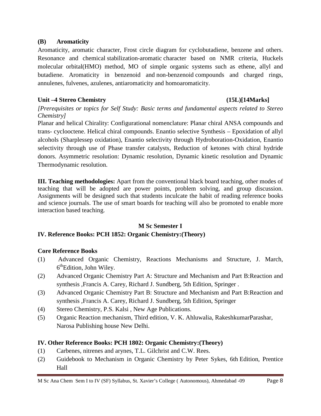#### **(B) Aromaticity**

Aromaticity, aromatic character, Frost circle diagram for cyclobutadiene, benzene and others. Resonance and chemical stabilization-aromatic character based on NMR criteria, Huckels molecular orbital(HMO) method, MO of simple organic systems such as ethene, allyl and butadiene. Aromaticity in benzenoid and non-benzenoid compounds and charged rings, annulenes, fulvenes, azulenes, antiaromaticity and homoaromaticity.

### **Unit –4 Stereo Chemistry (15L)[14Marks]**

*[Prerequisites or topics for Self Study: Basic terms and fundamental aspects related to Stereo Chemistry]*

Planar and helical Chirality: Configurational nomenclature: Planar chiral ANSA compounds and trans- cyclooctene. Helical chiral compounds. Enantio selective Synthesis – Epoxidation of allyl alcohols (Sharplessep oxidation), Enantio selectivity through Hydroboration-Oxidation, Enantio selectivity through use of Phase transfer catalysts, Reduction of ketones with chiral hydride donors. Asymmetric resolution: Dynamic resolution, Dynamic kinetic resolution and Dynamic Thermodynamic resolution.

**III. Teaching methodologies:** Apart from the conventional black board teaching, other modes of teaching that will be adopted are power points, problem solving, and group discussion. Assignments will be designed such that students inculcate the habit of reading reference books and science journals. The use of smart boards for teaching will also be promoted to enable more interaction based teaching.

### **M Sc Semester I**

### **IV. Reference Books: PCH 1852: Organic Chemistry:(Theory)**

### **Core Reference Books**

- (1) Advanced Organic Chemistry, Reactions Mechanisms and Structure, J. March, 6<sup>th</sup>Edition, John Wiley.
- (2) Advanced Organic Chemistry Part A: Structure and Mechanism and Part B:Reaction and synthesis ,Francis A. Carey, Richard J. Sundberg, 5th Edition, Springer .
- (3) Advanced Organic Chemistry Part B: Structure and Mechanism and Part B:Reaction and synthesis ,Francis A. Carey, Richard J. Sundberg, 5th Edition, Springer
- (4) Stereo Chemistry, P.S. Kalsi , New Age Publications.
- (5) Organic Reaction mechanism, Third edition, V. K. Ahluwalia, RakeshkumarParashar, Narosa Publishing house New Delhi.

### **IV. Other Reference Books: PCH 1802: Organic Chemistry:(Theory)**

- (1) Carbenes, nitrenes and arynes, T.L. Gilchrist and C.W. Rees.
- (2) Guidebook to Mechanism in Organic Chemistry by Peter Sykes, 6th Edition, Prentice Hall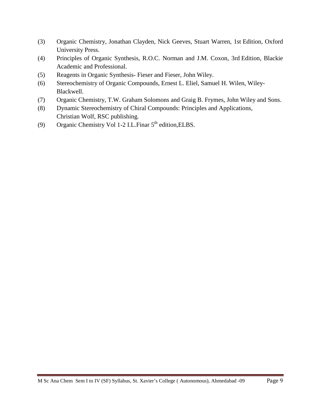- (3) Organic Chemistry, Jonathan Clayden, Nick Geeves, Stuart Warren, 1st Edition, Oxford University Press.
- (4) Principles of Organic Synthesis, R.O.C. Norman and J.M. Coxon, 3rd Edition, Blackie Academic and Professional.
- (5) Reagents in Organic Synthesis- Fieser and Fieser, John Wiley.
- (6) Stereochemistry of Organic Compounds, Ernest L. Eliel, Samuel H. Wilen, Wiley-Blackwell.
- (7) Organic Chemistry, T.W. Graham Solomons and Graig B. Frymes, John Wiley and Sons.
- (8) Dynamic Stereochemistry of Chiral Compounds: Principles and Applications, Christian Wolf, RSC publishing.
- (9) Organic Chemistry Vol 1-2 I.L.Finar  $5<sup>th</sup>$  edition, ELBS.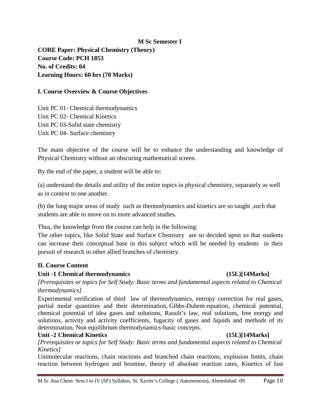#### **M Sc Semester I**

**CORE Paper: Physical Chemistry (Theory) Course Code: PCH 1853 No. of Credits: 04 Learning Hours: 60 hrs (70 Marks)**

#### **I. Course Overview & Course Objectives**

Unit PC 01- Chemical thermodynamics Unit PC 02- Chemical Kinetics Unit PC 03-Solid state chemistry Unit PC 04- Surface chemistry

The main objective of the course will be to enhance the understanding and knowledge of Physical Chemistry without an obscuring mathematical screen.

By the end of the paper, a student will be able to:

(a) understand the details and utility of the entire topics in physical chemistry, separately as well as in context to one another.

(b) the long major areas of study such as thermodynamics and kinetics are so taught ,such that students are able to move on to more advanced studies.

Thus, the knowledge from the course can help in the following:

The other topics, like Solid State and Surface Chemistry are so decided upon so that students can increase their conceptual base in this subject which will be needed by students in their pursuit of research in other allied branches of chemistry.

#### **II. Course Content**

#### **Unit -1 Chemical thermodynamics (15L)[14Marks]**

*[Prerequisites or topics for Self Study: Basic terms and fundamental aspects related to Chemical thermodynamics]*

Experimental verification of third law of thermodynamics, entropy correction for real gases, partial molar quantities and their determination, Gibbs-Duhem equation, chemical potential, chemical potential of idea gases and solutions, Raoult's law, real solutions, free energy and solutions, activity and activity coefficients, fugacity of gases and liquids and methods of its determination. Non equilibrium thermodynamics-basic concepts.

#### **Unit -2 Chemical Kinetics (15L)[14Marks]**

*[Prerequisites or topics for Self Study: Basic terms and fundamental aspects related to Chemical Kinetics]*

Unimolecular reactions, chain reactions and branched chain reactions, explosion limits, chain reaction between hydrogen and bromine, theory of absolute reaction rates, Kinetics of fast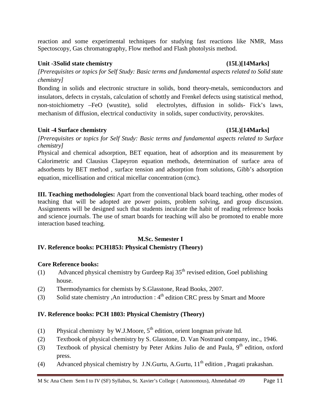reaction and some experimental techniques for studying fast reactions like NMR, Mass Spectoscopy, Gas chromatography, Flow method and Flash photolysis method.

### **Unit -3Solid state chemistry (15L)[14Marks]**

*[Prerequisites or topics for Self Study: Basic terms and fundamental aspects related to Solid state chemistry]*

Bonding in solids and electronic structure in solids, bond theory-metals, semiconductors and insulators, defects in crystals, calculation of schottly and Frenkel defects using statistical method, non-stoichiometry –FeO (wustite), solid electrolytes, diffusion in solids- Fick's laws, mechanism of diffusion, electrical conductivity in solids, super conductivity, perovskites.

# **Unit -4 Surface chemistry (15L)[14Marks]**

*[Prerequisites or topics for Self Study: Basic terms and fundamental aspects related to Surface chemistry]*

Physical and chemical adsorption, BET equation, heat of adsorption and its measurement by Calorimetric and Clausius Clapeyron equation methods, determination of surface area of adsorbents by BET method , surface tension and adsorption from solutions, Gibb's adsorption equation, micellisation and critical micellar concentration (cmc).

**III. Teaching methodologies:** Apart from the conventional black board teaching, other modes of teaching that will be adopted are power points, problem solving, and group discussion. Assignments will be designed such that students inculcate the habit of reading reference books and science journals. The use of smart boards for teaching will also be promoted to enable more interaction based teaching.

### **M.Sc. Semester I**

# **IV. Reference books: PCH1853: Physical Chemistry (Theory)**

# **Core Reference books:**

- (1) Advanced physical chemistry by Gurdeep Raj  $35<sup>th</sup>$  revised edition, Goel publishing house.
- (2) Thermodynamics for chemists by S.Glasstone, Read Books, 2007.
- (3) Solid state chemistry ,An introduction :  $4<sup>th</sup>$  edition CRC press by Smart and Moore

# **IV. Reference books: PCH 1803: Physical Chemistry (Theory)**

- (1) Physical chemistry by W.J.Moore,  $5<sup>th</sup>$  edition, orient longman private ltd.
- (2) Textbook of physical chemistry by S. Glasstone, D. Van Nostrand company, inc., 1946.
- (3) Textbook of physical chemistry by Peter Atkins Julio de and Paula,  $9<sup>th</sup>$  edition, oxford press.
- (4) Advanced physical chemistry by J.N.Gurtu, A.Gurtu,  $11<sup>th</sup>$  edition, Pragati prakashan.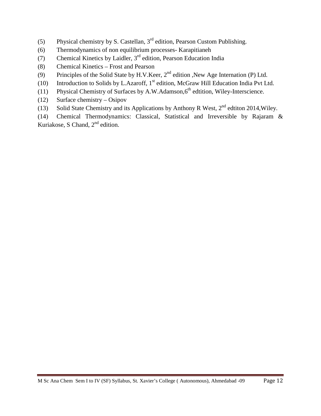- (5) Physical chemistry by S. Castellan,  $3<sup>rd</sup>$  edition, Pearson Custom Publishing.
- (6) Thermodynamics of non equilibrium processes- Karapitianeh
- (7) Chemical Kinetics by Laidler,  $3<sup>rd</sup>$  edition, Pearson Education India
- (8) Chemical Kinetics Frost and Pearson
- (9) Principles of the Solid State by H.V.Keer, 2<sup>nd</sup> edition ,New Age Internation (P) Ltd.
- (10) Introduction to Solids by L.Azaroff,  $1<sup>st</sup>$  edition, McGraw Hill Education India Pvt Ltd.
- (11) Physical Chemistry of Surfaces by A.W.Adamson, $6<sup>th</sup>$  edtition, Wiley-Interscience.
- (12) Surface chemistry Osipov
- (13) Solid State Chemistry and its Applications by Anthony R West,  $2^{nd}$  edtiton 2014, Wiley.

(14) Chemical Thermodynamics: Classical, Statistical and Irreversible by Rajaram & Kuriakose, S Chand,  $2<sup>nd</sup>$  edition.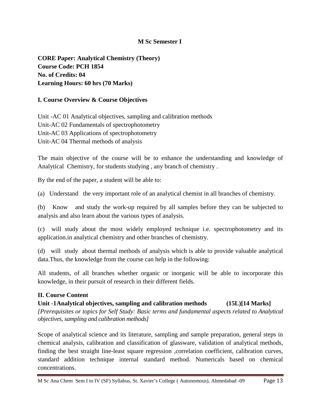### **M Sc Semester I**

**CORE Paper: Analytical Chemistry (Theory) Course Code: PCH 1854 No. of Credits: 04 Learning Hours: 60 hrs (70 Marks)**

### **I. Course Overview & Course Objectives**

Unit -AC 01 Analytical objectives, sampling and calibration methods Unit-AC 02 Fundamentals of spectrophotometry Unit-AC 03 Applications of spectrophotometry Unit-AC 04 Thermal methods of analysis

The main objective of the course will be to enhance the understanding and knowledge of Analytical Chemistry, for students studying , any branch of chemistry .

By the end of the paper, a student will be able to:

(a) Understand the very important role of an analytical chemist in all branches of chemistry.

(b) Know and study the work-up required by all samples before they can be subjected to analysis and also learn about the various types of analysis.

(c) will study about the most widely employed technique i.e. spectrophotometry and its application.in analytical chemistry and other branches of chemistry.

(d) will study about thermal methods of analysis which is able to provide valuable analytical data.Thus, the knowledge from the course can help in the following:

All students, of all branches whether organic or inorganic will be able to incorporate this knowledge, in their pursuit of research in their different fields.

### **II. Course Content**

**Unit -1Analytical objectives, sampling and calibration methods (15L)[14 Marks]** *[Prerequisites or topics for Self Study: Basic terms and fundamental aspects related to Analytical objectives, sampling and calibration methods]*

Scope of analytical science and its literature, sampling and sample preparation, general steps in chemical analysis, calibration and classification of glassware, validation of analytical methods, finding the best straight line-least square regression ,correlation coefficient, calibration curves, standard addition technique internal standard method. Numericals based on chemical concentrations.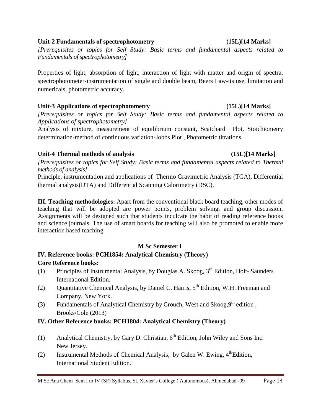# M Sc Ana Chem Sem I to IV (SF) Syllabus, St. Xavier's College ( Autonomous), Ahmedabad -09 Page 14

# **Unit-2 Fundamentals of spectrophotometry (15L)[14 Marks]**

*[Prerequisites or topics for Self Study: Basic terms and fundamental aspects related to Fundamentals of spectrophotometry]*

Properties of light, absorption of light, interaction of light with matter and origin of spectra, spectrophotometer-instrumentation of single and double beam, Beers Law-its use, limitation and numericals, photometric accuracy.

# **Unit-3 Applications of spectrophotometry (15L)[14 Marks]**

*[Prerequisites or topics for Self Study: Basic terms and fundamental aspects related to Applications of spectrophotometry]*

Analysis of mixture, measurement of equilibrium constant, Scatchard Plot, Stoichiometry determination-method of continuous variation-Jobbs Plot , Photometric titrations.

# **Unit-4 Thermal methods of analysis (15L)[14 Marks]**

*[Prerequisites or topics for Self Study: Basic terms and fundamental aspects related to Thermal methods of analysis]*

Principle, instrumentation and applications of Thermo Gravimetric Analysis (TGA), Differential thermal analysis(DTA) and Differential Scanning Calorimetry (DSC).

**III. Teaching methodologies:** Apart from the conventional black board teaching, other modes of teaching that will be adopted are power points, problem solving, and group discussion. Assignments will be designed such that students inculcate the habit of reading reference books and science journals. The use of smart boards for teaching will also be promoted to enable more interaction based teaching.

# **M Sc Semester I**

# **IV. Reference books: PCH1854: Analytical Chemistry (Theory)**

# **Core Reference books:**

- (1) Principles of Instrumental Analysis, by Douglas A. Skoog,  $3<sup>rd</sup>$  Edition, Holt- Saunders International Edition.
- (2) Quantitative Chemical Analysis, by Daniel C. Harris,  $5<sup>th</sup>$  Edition, W.H. Freeman and Company, New York.
- (3) Fundamentals of Analytical Chemistry by Crouch, West and  $Skooq, 9<sup>th</sup>$  edition , Brooks/Cole (2013)

# **IV. Other Reference books: PCH1804: Analytical Chemistry (Theory)**

- (1) Analytical Chemistry, by Gary D. Christian,  $6<sup>th</sup>$  Edition, John Wiley and Sons Inc. New Jersey.
- (2) Instrumental Methods of Chemical Analysis, by Galen W. Ewing,  $4^{\text{th}}$ Edition, International Student Edition.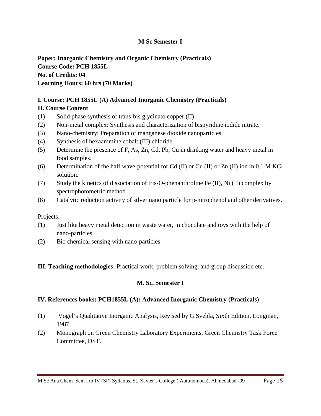### **M Sc Semester I**

**Paper: Inorganic Chemistry and Organic Chemistry (Practicals) Course Code: PCH 1855L No. of Credits: 04 Learning Hours: 60 hrs (70 Marks)**

### **I. Course: PCH 1855L (A) Advanced Inorganic Chemistry (Practicals)**

### **II. Course Content**

- (1) Solid phase synthesis of trans-bis glycinato copper (II)
- (2) Non-metal complex: Synthesis and characterization of bispyridine iodide nitrate.
- (3) Nano-chemistry: Preparation of manganese dioxide nanoparticles.
- (4) Synthesis of hexaammine cobalt (III) chloride.
- (5) Determine the presence of F, As, Zn, Cd, Pb, Cu in drinking water and heavy metal in food samples.
- (6) Determination of the half wave-potential for Cd (II) or Cu (II) or Zn (II) ion in 0.1 M KCl solution.
- (7) Study the kinetics of dissociation of tris-O-phenanthroline Fe (II), Ni (II) complex by spectrophotometric method.
- (8) Catalytic reduction activity of silver nano particle for p-nitrophenol and other derivatives.

Projects:

- (1) Just like heavy metal detection in waste water, in chocolate and toys with the help of nano-particles.
- (2) Bio chemical sensing with nano-particles.

#### **III. Teaching methodologies:** Practical work, problem solving, and group discussion etc.

#### **M. Sc. Semester I**

#### **IV. References books: PCH1855L (A): Advanced Inorganic Chemistry (Practicals)**

- (1) Vogel's Qualitative Inorganic Analysis, Revised by G Svehla, Sixth Edition, Longman, 1987.
- (2) Monograph on Green Chemistry Laboratory Experiments, Green Chemistry Task Force Committee, DST.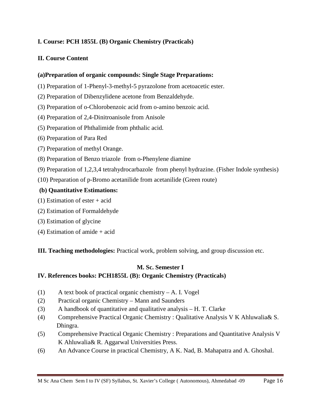# **I. Course: PCH 1855L (B) Organic Chemistry (Practicals)**

# **II. Course Content**

# **(a)Preparation of organic compounds: Single Stage Preparations:**

- (1) Preparation of 1-Phenyl-3-methyl-5 pyrazolone from acetoacetic ester.
- (2) Preparation of Dibenzylidene acetone from Benzaldehyde.
- (3) Preparation of o-Chlorobenzoic acid from o-amino benzoic acid.
- (4) Preparation of 2,4-Dinitroanisole from Anisole
- (5) Preparation of Phthalimide from phthalic acid.
- (6) Preparation of Para Red
- (7) Preparation of methyl Orange.
- (8) Preparation of Benzo triazole from o-Phenylene diamine
- (9) Preparation of 1,2,3,4 tetrahydrocarbazole from phenyl hydrazine. (Fisher Indole synthesis)
- (10) Preparation of p-Bromo acetanilide from acetanilide (Green route)

# **(b) Quantitative Estimations:**

- (1) Estimation of ester + acid
- (2) Estimation of Formaldehyde
- (3) Estimation of glycine
- (4) Estimation of amide + acid

**III. Teaching methodologies:** Practical work, problem solving, and group discussion etc.

# **M. Sc. Semester I**

# **IV. References books: PCH1855L (B): Organic Chemistry (Practicals)**

- (1) A text book of practical organic chemistry A. I. Vogel
- (2) Practical organic Chemistry Mann and Saunders
- (3) A handbook of quantitative and qualitative analysis H. T. Clarke
- (4) Comprehensive Practical Organic Chemistry : Qualitative Analysis V K Ahluwalia& S. Dhingra.
- (5) Comprehensive Practical Organic Chemistry : Preparations and Quantitative Analysis V K Ahluwalia& R. Aggarwal Universities Press.
- (6) An Advance Course in practical Chemistry, A K. Nad, B. Mahapatra and A. Ghoshal.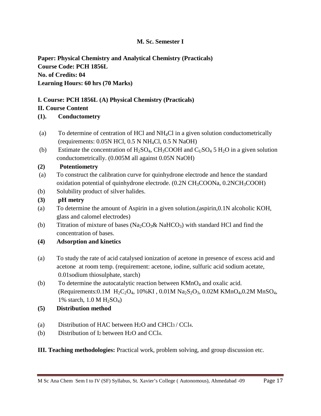# **M. Sc. Semester I**

**Paper: Physical Chemistry and Analytical Chemistry (Practicals) Course Code: PCH 1856L No. of Credits: 04 Learning Hours: 60 hrs (70 Marks)**

# **I. Course: PCH 1856L (A) Physical Chemistry (Practicals)**

# **II. Course Content**

**(1). Conductometry**

- (a) To determine of centration of HCl and  $NH<sub>4</sub>Cl$  in a given solution conductometrically (requirements: 0.05N HCl, 0.5 N NH4Cl, 0.5 N NaOH)
- (b) Estimate the concentration of  $H_2SO_4$ ,  $CH_3COOH$  and  $C_1SO_4$  5  $H_2O$  in a given solution conductometrically. (0.005M all against 0.05N NaOH)

# **(2) Potentiometry**

- (a) To construct the calibration curve for quinhydrone electrode and hence the standard oxidation potential of quinhydrone electrode. (0.2N CH<sub>3</sub>COONa, 0.2NCH<sub>3</sub>COOH)
- (b) Solubility product of silver halides.
- **(3) pH metry**
- (a) To determine the amount of Aspirin in a given solution.(aspirin,0.1N alcoholic KOH, glass and calomel electrodes)
- (b) Titration of mixture of bases (Na<sub>2</sub>CO<sub>3</sub>& NaHCO<sub>3</sub>) with standard HCl and find the concentration of bases.
- **(4) Adsorption and kinetics**
- (a) To study the rate of acid catalysed ionization of acetone in presence of excess acid and acetone at room temp. (requirement: acetone, iodine, sulfuric acid sodium acetate, 0.01sodium thiosulphate, starch)
- (b) To determine the autocatalytic reaction between  $KMnO_4$  and oxalic acid. (Requirements:0.1M  $H_2C_2O_4$ , 10%KI, 0.01M Na<sub>2</sub>S<sub>2</sub>O<sub>3</sub>, 0.02M KMnO<sub>4</sub>,0.2M MnSO<sub>4</sub>, 1% starch,  $1.0 M H_2SO_4$ )
- **(5) Distribution method**
- (a) Distribution of HAC between H2O and CHCl3 / CCl4.
- (b) Distribution of I2 between H2O and CCl4.

**III. Teaching methodologies:** Practical work, problem solving, and group discussion etc.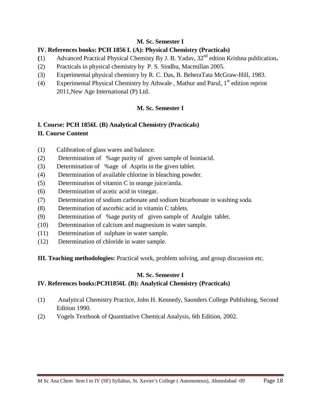# **M. Sc. Semester I**

# **IV. References books: PCH 1856 L (A): Physical Chemistry (Practicals)**

- **(**1) Advanced Practical Physical Chemisty By J. B. Yadav, 32nd edtion Krishna publication**.**
- (2) Practicals in physical chemistry by P. S. Sindhu, Macmillan 2005.
- (3) Experimental physical chemistry by R. C. Das, B. BeheraTata McGraw-Hill, 1983.
- (4) Experimental Physical Chemistry by Athwale, Mathur and Parul,  $1<sup>st</sup>$  edition reprint 2011,New Age International (P) Ltd.

# **M. Sc. Semester I**

# **I. Course: PCH 1856L (B) Analytical Chemistry (Practicals) II. Course Content**

- (1) Calibration of glass wares and balance.
- (2) Determination of %age purity of given sample of Isoniacid.
- (3) Determination of %age of Asprin in the given tablet.
- (4) Determination of available chlorine in bleaching powder.
- (5) Determination of vitamin C in orange juice/amla.
- (6) Determination of acetic acid in vinegar.
- (7) Determination of sodium carbonate and sodium bicarbonate in washing soda.
- (8) Determination of ascorbic acid in vitamin C tablets.
- (9) Determination of %age purity of given sample of Analgin tablet.
- (10) Determination of calcium and magnesium in water sample.
- (11) Determination of sulphate in water sample.
- (12) Determination of chloride in water sample.
- **III. Teaching methodologies:** Practical work, problem solving, and group discussion etc.

# **M. Sc. Semester I**

# **IV. References books:PCH1856L (B): Analytical Chemistry (Practicals)**

- (1) Analytical Chemistry Practice, John H. Kennedy, Saunders College Publishing, Second Edition 1990.
- (2) Vogels Textbook of Quantitative Chemical Analysis, 6th Edition, 2002.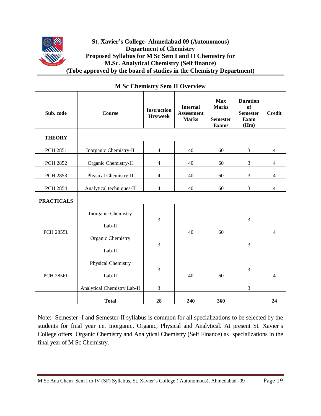# **St. Xavier's College- Ahmedabad 09 (Autonomous) Department of Chemistry Proposed Syllabus for M Sc Sem I and II Chemistry for M.Sc. Analytical Chemistry (Self finance) (Tobe approved by the board of studies in the Chemistry Department)**

| Sub. code         | <b>Course</b>                         | <b>Instruction</b><br>Hrs/week | <b>Internal</b><br><b>Assessment</b><br><b>Marks</b> | <b>Max</b><br><b>Marks</b><br><b>Semester</b><br><b>Exams</b> | <b>Duration</b><br><b>of</b><br><b>Semester</b><br><b>Exam</b><br>(Hrs) | <b>Credit</b>  |
|-------------------|---------------------------------------|--------------------------------|------------------------------------------------------|---------------------------------------------------------------|-------------------------------------------------------------------------|----------------|
| <b>THEORY</b>     |                                       |                                |                                                      |                                                               |                                                                         |                |
| <b>PCH 2851</b>   | Inorganic Chemistry-II                | $\overline{4}$                 | 40                                                   | 60                                                            | 3                                                                       | $\overline{4}$ |
| <b>PCH 2852</b>   | Organic Chemistry-II                  | $\overline{4}$                 | 40                                                   | 60                                                            | 3                                                                       | $\overline{4}$ |
| <b>PCH 2853</b>   | Physical Chemistry-II                 | $\overline{4}$                 | 40                                                   | 60                                                            | 3                                                                       | $\overline{4}$ |
| <b>PCH 2854</b>   | Analytical techniques-II              | $\overline{4}$                 | 40                                                   | 60                                                            | 3                                                                       | $\overline{4}$ |
| <b>PRACTICALS</b> |                                       |                                |                                                      |                                                               |                                                                         |                |
| <b>PCH 2855L</b>  | Inorganic Chemistry<br>Lab-II         | $\overline{3}$                 |                                                      | 60                                                            | $\overline{3}$                                                          |                |
|                   | Organic Chemistry<br>Lab-II           | 3                              | 40                                                   |                                                               | 3                                                                       | $\overline{4}$ |
| <b>PCH 2856L</b>  | <b>Physical Chemistry</b><br>$Lab-II$ | 3                              | 40                                                   | 60                                                            | 3                                                                       | $\overline{4}$ |
|                   | Analytical Chemistry Lab-II           | $\mathfrak{Z}$                 |                                                      |                                                               | 3                                                                       |                |
|                   | <b>Total</b>                          | 28                             | 240                                                  | 360                                                           |                                                                         | 24             |

### **M Sc Chemistry Sem II Overview**

Note:- Semester -I and Semester-II syllabus is common for all specializations to be selected by the students for final year i.e. Inorganic, Organic, Physical and Analytical. At present St. Xavier's College offers Organic Chemistry and Analytical Chemistry (Self Finance) as specializations in the final year of M Sc Chemistry.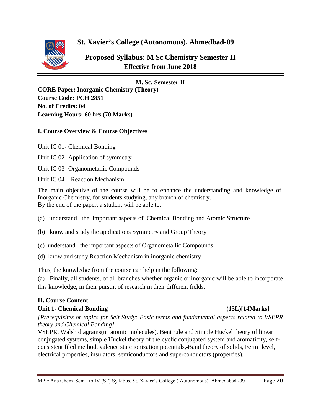

**St. Xavier's College (Autonomous), Ahmedbad-09** 

**Proposed Syllabus: M Sc Chemistry Semester II Effective from June 2018**

#### **M. Sc. Semester II**

**CORE Paper: Inorganic Chemistry (Theory) Course Code: PCH 2851 No. of Credits: 04 Learning Hours: 60 hrs (70 Marks)**

#### **I. Course Overview & Course Objectives**

- Unit IC 01- Chemical Bonding
- Unit IC 02- Application of symmetry
- Unit IC 03- Organometallic Compounds
- Unit IC 04 Reaction Mechanism

The main objective of the course will be to enhance the understanding and knowledge of Inorganic Chemistry, for students studying, any branch of chemistry. By the end of the paper, a student will be able to:

- (a) understand the important aspects of Chemical Bonding and Atomic Structure
- (b) know and study the applications Symmetry and Group Theory
- (c) understand the important aspects of Organometallic Compounds
- (d) know and study Reaction Mechanism in inorganic chemistry

Thus, the knowledge from the course can help in the following:

(a) Finally, all students, of all branches whether organic or inorganic will be able to incorporate this knowledge, in their pursuit of research in their different fields.

### **II. Course Content**

### **Unit 1- Chemical Bonding (15L)[14Marks]**

*[Prerequisites or topics for Self Study: Basic terms and fundamental aspects related to VSEPR theory and Chemical Bonding]*

VSEPR, Walsh diagrams(tri atomic molecules), Bent rule and Simple Huckel theory of linear conjugated systems, simple Huckel theory of the cyclic conjugated system and aromaticity, selfconsistent filed method, valence state ionization potentials, Band theory of solids, Fermi level, electrical properties, insulators, semiconductors and superconductors (properties).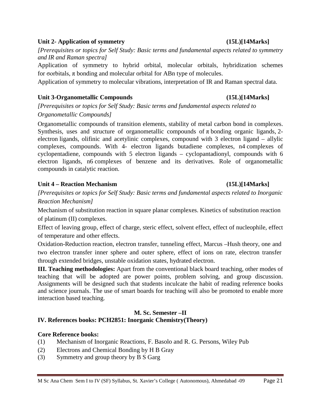#### **Unit 2- Application of symmetry (15L)[14Marks]**

*[Prerequisites or topics for Self Study: Basic terms and fundamental aspects related to symmetry and IR and Raman spectra]*

Application of symmetry to hybrid orbital, molecular orbitals, hybridization schemes for σorbitals, π bonding and molecular orbital for ABn type of molecules.

Application of symmetry to molecular vibrations, interpretation of IR and Raman spectral data.

### **Unit 3-Organometallic Compounds (15L)[14Marks]**

*[Prerequisites or topics for Self Study: Basic terms and fundamental aspects related to Organometallic Compounds]*

Organometallic compounds of transition elements, stability of metal carbon bond in complexes. Synthesis, uses and structure of organometallic compounds of  $\pi$  bonding organic ligands, 2electron ligands, olifinic and acetylinic complexes, compound with 3 electron ligand – allylic complexes, compounds. With 4- electron ligands butadiene complexes, n4 complexes of cyclopentadiene, compounds with 5 electron ligands – cyclopantadionyl, compounds with 6 electron ligands, n6 complexes of benzene and its derivatives. Role of organometallic compounds in catalytic reaction.

# **Unit 4 – Reaction Mechanism (15L)[14Marks]**

# *[Prerequisites or topics for Self Study: Basic terms and fundamental aspects related to Inorganic Reaction Mechanism]*

Mechanism of substitution reaction in square planar complexes. Kinetics of substitution reaction of platinum (II) complexes.

Effect of leaving group, effect of charge, steric effect, solvent effect, effect of nucleophile, effect of temperature and other effects.

Oxidation-Reduction reaction, electron transfer, tunneling effect, Marcus –Hush theory, one and two electron transfer inner sphere and outer sphere, effect of ions on rate, electron transfer through extended bridges, unstable oxidation states, hydrated electron.

**III. Teaching methodologies:** Apart from the conventional black board teaching, other modes of teaching that will be adopted are power points, problem solving, and group discussion. Assignments will be designed such that students inculcate the habit of reading reference books and science journals. The use of smart boards for teaching will also be promoted to enable more interaction based teaching.

# **M. Sc. Semester –II**

# **IV. References books: PCH2851: Inorganic Chemistry(Theory)**

### **Core Reference books:**

- (1) Mechanism of Inorganic Reactions, F. Basolo and R. G. Persons, Wiley Pub
- (2) Electrons and Chemical Bonding by H B Gray
- (3) Symmetry and group theory by B S Garg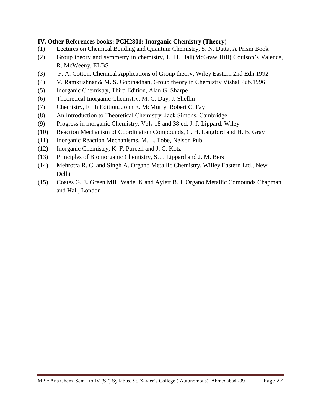### **IV. Other References books: PCH2801: Inorganic Chemistry (Theory)**

- (1) Lectures on Chemical Bonding and Quantum Chemistry, S. N. Datta, A Prism Book
- (2) Group theory and symmetry in chemistry, L. H. Hall(McGraw Hill) Coulson's Valence, R. McWeeny, ELBS
- (3) F. A. Cotton, Chemical Applications of Group theory, Wiley Eastern 2nd Edn.1992
- (4) V. Ramkrishnan& M. S. Gopinadhan, Group theory in Chemistry Vishal Pub.1996
- (5) Inorganic Chemistry, Third Edition, Alan G. Sharpe
- (6) Theoretical Inorganic Chemistry, M. C. Day, J. Shellin
- (7) Chemistry, Fifth Edition, John E. McMurry, Robert C. Fay
- (8) An Introduction to Theoretical Chemistry, Jack Simons, Cambridge
- (9) Progress in inorganic Chemistry, Vols 18 and 38 ed. J. J. Lippard, Wiley
- (10) Reaction Mechanism of Coordination Compounds, C. H. Langford and H. B. Gray
- (11) Inorganic Reaction Mechanisms, M. L. Tobe, Nelson Pub
- (12) Inorganic Chemistry, K. F. Purcell and J. C. Kotz.
- (13) Principles of Bioinorganic Chemistry, S. J. Lippard and J. M. Bers
- (14) Mehrotra R. C. and Singh A. Organo Metallic Chemistry, Willey Eastern Ltd., New Delhi
- (15) Coates G. E. Green MIH Wade, K and Aylett B. J. Organo Metallic Comounds Chapman and Hall, London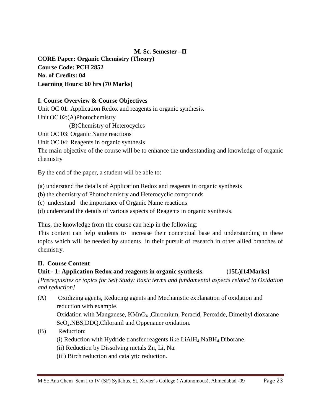# **M. Sc. Semester –II**

**CORE Paper: Organic Chemistry (Theory) Course Code: PCH 2852 No. of Credits: 04 Learning Hours: 60 hrs (70 Marks)**

### **I. Course Overview & Course Objectives**

Unit OC 01: Application Redox and reagents in organic synthesis.

Unit OC 02:(A)Photochemistry

(B)Chemistry of Heterocycles

Unit OC 03: Organic Name reactions

Unit OC 04: Reagents in organic synthesis

The main objective of the course will be to enhance the understanding and knowledge of organic chemistry

By the end of the paper, a student will be able to:

(a) understand the details of Application Redox and reagents in organic synthesis

(b) the chemistry of Photochemistry and Heterocyclic compounds

- (c) understand the importance of Organic Name reactions
- (d) understand the details of various aspects of Reagents in organic synthesis.

Thus, the knowledge from the course can help in the following:

This content can help students to increase their conceptual base and understanding in these topics which will be needed by students in their pursuit of research in other allied branches of chemistry.

### **II. Course Content**

### **Unit - 1: Application Redox and reagents in organic synthesis. (15L)[14Marks]**

*[Prerequisites or topics for Self Study: Basic terms and fundamental aspects related to Oxidation and reduction]*

(A) Oxidizing agents, Reducing agents and Mechanistic explanation of oxidation and reduction with example.

Oxidation with Manganese, KMnO<sub>4</sub>, Chromium, Peracid, Peroxide, Dimethyl dioxarane SeO2,NBS,DDQ,Chloranil and Oppenauer oxidation.

- (B) Reduction:
	- (i) Reduction with Hydride transfer reagents like  $LiAlH<sub>4</sub>,NaBH<sub>4</sub>,Diborane.$
	- (ii) Reduction by Dissolving metals Zn, Li, Na.
	- (iii) Birch reduction and catalytic reduction.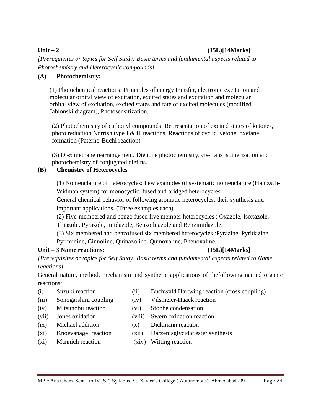# **Unit – 2 (15L)[14Marks]**

*[Prerequisites or topics for Self Study: Basic terms and fundamental aspects related to Photochemistry and Heterocyclic compounds]*

# **(A) Photochemistry:**

(1) Photochemical reactions: Principles of energy transfer, electronic excitation and molecular orbital view of excitation, excited states and excitation and molecular orbital view of excitation, excited states and fate of excited molecules (modified Jablonski diagram), Photosensitization.

(2) Photochemistry of carbonyl compounds: Representation of excited states of ketones, photo reduction Norrish type Ι & Π reactions, Reactions of cyclic Ketone, oxetane formation (Paterno-Buchi reaction)

(3) Di-π methane rearrangement, Dienone photochemistry, cis-trans isomerisation and photochemistry of conjugated olefins.

# **(B) Chemistry of Heterocycles**

(1) Nomenclature of heterocycles: Few examples of systematic nomenclature (Hantzsch-Widman system) for monocyclic, fused and bridged heterocycles.

General chemical behavior of following aromatic heterocycles: their synthesis and important applications. (Three examples each)

(2) Five-membered and benzo fused five member heterocycles : Oxazole, Isoxazole, Thiazole, Pyrazole, Imidazole, Benzothiazole and Benzimidazole.

(3) Six membered and benzofused six membered heterocycles :Pyrazine, Pyridazine, Pyrimidine, Cinnoline, Quinazoline, Quinoxaline, Phenoxaline.

### **Unit – 3 Name reactions: (15L)[14Marks]**

*[Prerequisites or topics for Self Study: Basic terms and fundamental aspects related to Name reactions]*

General nature, method, mechanism and synthetic applications of thefollowing named organic reactions:

- 
- (iii) Sonogarshira coupling (iv) Vilsmeier-Haack reaction
- (iv) Mitsunobu reaction (vi) Stobbe condensation
- (vii) Jones oxidation (viii) Swern oxidation reaction
- (ix) Michael addition (x) Dickmann reaction
- 
- (i) Suzuki reaction (ii) Buchwald Hartwing reaction (cross coupling)
	-
	-
	-
	-
- (xi) Knoevanagel reaction (xii) Darzen'sglycidic ester synthesis
- (xi) Mannich reaction (xiv) Witting reaction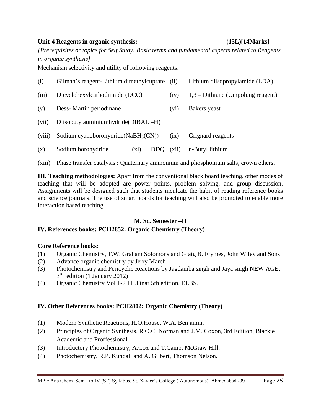#### **Unit-4 Reagents in organic synthesis: (15L)[14Marks]**

*[Prerequisites or topics for Self Study: Basic terms and fundamental aspects related to Reagents in organic synthesis]*

Mechanism selectivity and utility of following reagents:

| (i)    | Gilman's reagent-Lithium dimethylcuprate<br>(iii) |                   | Lithium diisopropylamide (LDA)      |  |  |  |
|--------|---------------------------------------------------|-------------------|-------------------------------------|--|--|--|
| (iii)  | Dicyclohexylcarbodiimide (DCC)                    | (iv)              | $1,3$ – Dithiane (Umpolung reagent) |  |  |  |
| (v)    | Dess-Martin periodinane                           | (v <sub>i</sub> ) | Bakers yeast                        |  |  |  |
| (vii)  | Diisobutylauminiumhydride(DIBAL-H)                |                   |                                     |  |  |  |
| (viii) | Sodium cyanoborohydride(NaBH <sub>3</sub> (CN))   | (ix)              | Grignard reagents                   |  |  |  |
| (x)    | Sodium borohydride<br>DDO.<br>$(x_1)$             | (xii)             | n-Butyl lithium                     |  |  |  |

(xiii) Phase transfer catalysis : Quaternary ammonium and phosphonium salts, crown ethers.

**III. Teaching methodologies:** Apart from the conventional black board teaching, other modes of teaching that will be adopted are power points, problem solving, and group discussion. Assignments will be designed such that students inculcate the habit of reading reference books and science journals. The use of smart boards for teaching will also be promoted to enable more interaction based teaching.

#### **M. Sc. Semester –II**

### **IV. References books: PCH2852: Organic Chemistry (Theory)**

### **Core Reference books:**

- (1) Organic Chemistry, T.W. Graham Solomons and Graig B. Frymes, John Wiley and Sons
- (2) Advance organic chemistry by Jerry March
- (3) Photochemistry and Pericyclic Reactions by Jagdamba singh and Jaya singh NEW AGE;  $3<sup>rd</sup>$  edition (1 January 2012)
- (4) Organic Chemistry Vol 1-2 I.L.Finar 5th edition, ELBS.

### **IV. Other References books: PCH2802: Organic Chemistry (Theory)**

- (1) Modern Synthetic Reactions, H.O.House, W.A. Benjamin.
- (2) Principles of Organic Synthesis, R.O.C. Norman and J.M. Coxon, 3rd Edition, Blackie Academic and Proffessional.
- (3) Introductory Photochemistry, A.Cox and T.Camp, McGraw Hill.
- (4) Photochemistry, R.P. Kundall and A. Gilbert, Thomson Nelson.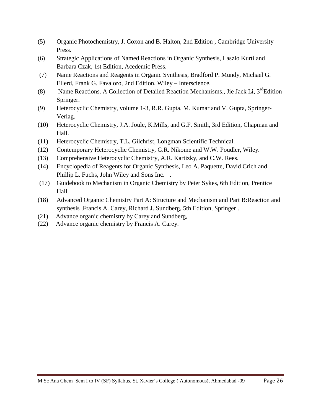- (5) Organic Photochemistry, J. Coxon and B. Halton, 2nd Edition , Cambridge University Press.
- (6) Strategic Applications of Named Reactions in Organic Synthesis, Laszlo Kurti and Barbara Czak, 1st Edition, Acedemic Press.
- (7) Name Reactions and Reagents in Organic Synthesis, Bradford P. Mundy, Michael G. Ellerd, Frank G. Favaloro, 2nd Edition, Wiley – Interscience.
- (8) Name Reactions. A Collection of Detailed Reaction Mechanisms., Jie Jack Li,  $3^{rd}$ Edition Springer.
- (9) Heterocyclic Chemistry, volume 1-3, R.R. Gupta, M. Kumar and V. Gupta, Springer-Verlag.
- (10) Heterocyclic Chemistry, J.A. Joule, K.Mills, and G.F. Smith, 3rd Edition, Chapman and Hall.
- (11) Heterocyclic Chemistry, T.L. Gilchrist, Longman Scientific Technical.
- (12) Contemporary Heterocyclic Chemistry, G.R. Nikome and W.W. Poudler, Wiley.
- (13) Comprehensive Heterocyclic Chemistry, A.R. Kartizky, and C.W. Rees.
- (14) Encyclopedia of Reagents for Organic Synthesis, Leo A. Paquette, David Crich and Phillip L. Fuchs, John Wiley and Sons Inc. .
- (17) Guidebook to Mechanism in Organic Chemistry by Peter Sykes, 6th Edition, Prentice Hall.
- (18) Advanced Organic Chemistry Part A: Structure and Mechanism and Part B:Reaction and synthesis ,Francis A. Carey, Richard J. Sundberg, 5th Edition, Springer .
- (21) Advance organic chemistry by Carey and Sundberg,
- (22) Advance organic chemistry by Francis A. Carey.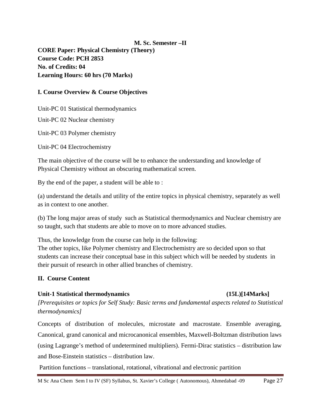**M. Sc. Semester –II CORE Paper: Physical Chemistry (Theory) Course Code: PCH 2853 No. of Credits: 04 Learning Hours: 60 hrs (70 Marks)**

#### **I. Course Overview & Course Objectives**

Unit-PC 01 Statistical thermodynamics

Unit-PC 02 Nuclear chemistry

Unit-PC 03 Polymer chemistry

Unit-PC 04 Electrochemistry

The main objective of the course will be to enhance the understanding and knowledge of Physical Chemistry without an obscuring mathematical screen.

By the end of the paper, a student will be able to :

(a) understand the details and utility of the entire topics in physical chemistry, separately as well as in context to one another.

(b) The long major areas of study such as Statistical thermodynamics and Nuclear chemistry are so taught, such that students are able to move on to more advanced studies.

Thus, the knowledge from the course can help in the following:

The other topics, like Polymer chemistry and Electrochemistry are so decided upon so that students can increase their conceptual base in this subject which will be needed by students in their pursuit of research in other allied branches of chemistry.

#### **II. Course Content**

#### Unit-1 Statistical thermodynamics (15L)[14Marks]

*[Prerequisites or topics for Self Study: Basic terms and fundamental aspects related to Statistical thermodynamics]*

Concepts of distribution of molecules, microstate and macrostate. Ensemble averaging, Canonical, grand canonical and microcanonical ensembles, Maxwell-Boltzman distribution laws (using Lagrange's method of undetermined multipliers). Fermi-Dirac statistics – distribution law and Bose-Einstein statistics – distribution law.

Partition functions – translational, rotational, vibrational and electronic partition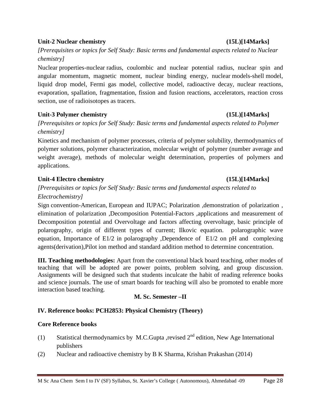#### **Unit-2 Nuclear chemistry (15L)[14Marks]**

# *[Prerequisites or topics for Self Study: Basic terms and fundamental aspects related to Nuclear chemistry]*

Nuclear properties-nuclear radius, coulombic and nuclear potential radius, nuclear spin and angular momentum, magnetic moment, nuclear binding energy, nuclear models-shell model, liquid drop model, Fermi gas model, collective model, radioactive decay, nuclear reactions, evaporation, spallation, fragmentation, fission and fusion reactions, accelerators, reaction cross section, use of radioisotopes as tracers.

# Unit-3 Polymer chemistry (15L)[14Marks]

*[Prerequisites or topics for Self Study: Basic terms and fundamental aspects related to Polymer chemistry]*

Kinetics and mechanism of polymer processes, criteria of polymer solubility, thermodynamics of polymer solutions, polymer characterization, molecular weight of polymer (number average and weight average), methods of molecular weight determination, properties of polymers and applications.

# **Unit-4 Electro chemistry (15L)[14Marks]**

# *[Prerequisites or topics for Self Study: Basic terms and fundamental aspects related to Electrochemistry]*

Sign convention-American, European and IUPAC; Polarization , demonstration of polarization, elimination of polarization ,Decomposition Potential-Factors ,applications and measurement of Decomposition potential and Overvoltage and factors affecting overvoltage, basic principle of polarography, origin of different types of current; Ilkovic equation. polarographic wave equation, Importance of E1/2 in polarography ,Dependence of E1/2 on pH and complexing agents(derivation),Pilot ion method and standard addition method to determine concentration.

**III. Teaching methodologies:** Apart from the conventional black board teaching, other modes of teaching that will be adopted are power points, problem solving, and group discussion. Assignments will be designed such that students inculcate the habit of reading reference books and science journals. The use of smart boards for teaching will also be promoted to enable more interaction based teaching.

# **M. Sc. Semester –II**

# **IV. Reference books: PCH2853: Physical Chemistry (Theory)**

### **Core Reference books**

- (1) Statistical thermodynamics by M.C.Gupta ,revised  $2<sup>nd</sup>$  edition, New Age International publishers
- (2) Nuclear and radioactive chemistry by B K Sharma, Krishan Prakashan (2014)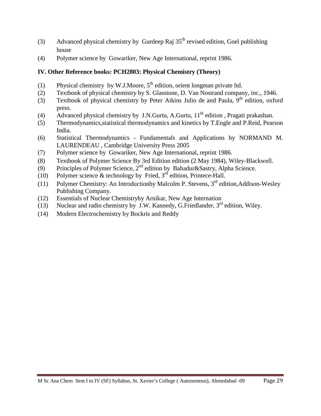- (3) Advanced physical chemistry by Gurdeep Raj  $35<sup>th</sup>$  revised edition, Goel publishing house
- (4) Polymer science by Gowariker, New Age International, reprint 1986.

# **IV. Other Reference books: PCH2803: Physical Chemistry (Theory)**

- (1) Physical chemistry by W.J.Moore,  $5<sup>th</sup>$  edition, orient longman private ltd.
- (2) Textbook of physical chemistry by S. Glasstone, D. Van Nostrand company, inc., 1946.
- (3) Textbook of physical chemistry by Peter Atkins Julio de and Paula,  $9<sup>th</sup>$  edition, oxford press.
- (4) Advanced physical chemistry by J.N.Gurtu, A.Gurtu,  $11<sup>th</sup>$  edition, Pragati prakashan.
- (5) Thermodynamics,statistical thermodynamics and kinetics by T.Engle and P.Reid, Pearson India.
- (6) Statistical Thermodynamics Fundamentals and Applications by NORMAND M. LAURENDEAU , Cambridge University Press 2005
- (7) Polymer science by Gowariker, New Age International, reprint 1986.
- (8) Textbook of Polymer Science By 3rd Edition edition (2 May 1984), Wiley-Blackwell.
- (9) Principles of Polymer Science,  $2^{nd}$  edition by Bahadur&Sastry, Alpha Science.
- (10) Polymer science  $\&$  technology by Fried, 3<sup>rd</sup> edition, Printece-Hall.
- (11) Polymer Chemistry: An Introductionby Malcolm P. Stevens,  $3^{rd}$  edition, Addison-Wesley Publishing Company.
- (12) Essentials of Nuclear Chemistryby Arnikar, New Age Internation
- (13) Nuclear and radio chemistry by J.W. Kannedy, G. Friedlander,  $3<sup>rd</sup>$  edition, Wiley.
- (14) Modern Electrochemistry by Bockris and Reddy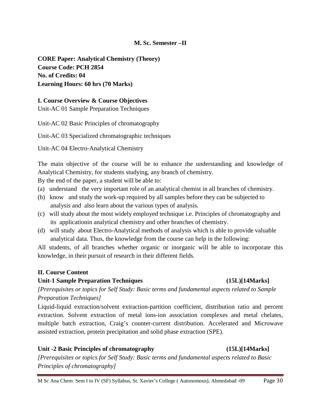### **M. Sc. Semester –II**

**CORE Paper: Analytical Chemistry (Theory) Course Code: PCH 2854 No. of Credits: 04 Learning Hours: 60 hrs (70 Marks)**

#### **I. Course Overview & Course Objectives**

Unit-AC 01 Sample Preparation Techniques

Unit-AC 02 Basic Principles of chromatography

Unit-AC 03 Specialized chromatographic techniques

Unit-AC 04 Electro-Analytical Chemistry

The main objective of the course will be to enhance the understanding and knowledge of Analytical Chemistry, for students studying, any branch of chemistry.

By the end of the paper, a student will be able to:

- (a) understand the very important role of an analytical chemist in all branches of chemistry.
- (b) know and study the work-up required by all samples before they can be subjected to analysis and also learn about the various types of analysis.
- (c) will study about the most widely employed technique i.e. Principles of chromatography and its applicationin analytical chemistry and other branches of chemistry.
- (d) will study about Electro-Analytical methods of analysis which is able to provide valuable analytical data. Thus, the knowledge from the course can help in the following:

All students, of all branches whether organic or inorganic will be able to incorporate this knowledge, in their pursuit of research in their different fields.

### **II. Course Content**

### **Unit-1 Sample Preparation Techniques (15L)[14Marks]**

*[Prerequisites or topics for Self Study: Basic terms and fundamental aspects related to Sample Preparation Techniques]*

Liquid-liquid extraction/solvent extraction-partition coefficient, distribution ratio and percent extraction. Solvent extraction of metal ions-ion association complexes and metal chelates, multiple batch extraction, Craig's counter-current distribution. Accelerated and Microwave assisted extraction, protein precipitation and solid phase extraction (SPE).

### **Unit -2 Basic Principles of chromatography (15L)[14Marks]**

*[Prerequisites or topics for Self Study: Basic terms and fundamental aspects related to Basic Principles of chromatography]*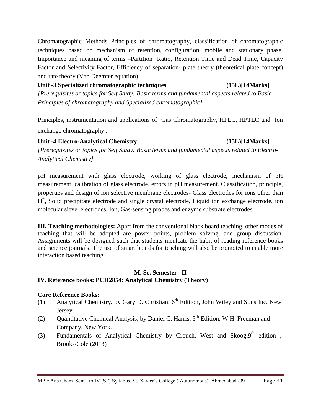Chromatographic Methods Principles of chromatography, classification of chromatographic techniques based on mechanism of retention, configuration, mobile and stationary phase. Importance and meaning of terms –Partition Ratio, Retention Time and Dead Time, Capacity Factor and Selectivity Factor, Efficiency of separation- plate theory (theoretical plate concept) and rate theory (Van Deemter equation).

#### **Unit -3 Specialized chromatographic techniques (15L)[14Marks]**

*[Prerequisites or topics for Self Study: Basic terms and fundamental aspects related to Basic Principles of chromatography and Specialized chromatographic]*

Principles, instrumentation and applications of Gas Chromatography, HPLC, HPTLC and Ion exchange chromatography .

### **Unit -4 Electro-Analytical Chemistry (15L)[14Marks]**

*[Prerequisites or topics for Self Study: Basic terms and fundamental aspects related to Electro-Analytical Chemistry]*

pH measurement with glass electrode, working of glass electrode, mechanism of pH measurement, calibration of glass electrode, errors in pH measurement. Classification, principle, properties and design of ion selective membrane electrodes- Glass electrodes for ions other than H<sup>+</sup>, Solid precipitate electrode and single crystal electrode, Liquid ion exchange electrode, ion molecular sieve electrodes. Ion, Gas-sensing probes and enzyme substrate electrodes.

**III. Teaching methodologies:** Apart from the conventional black board teaching, other modes of teaching that will be adopted are power points, problem solving, and group discussion. Assignments will be designed such that students inculcate the habit of reading reference books and science journals. The use of smart boards for teaching will also be promoted to enable more interaction based teaching.

#### **M. Sc. Semester –II IV. Reference books: PCH2854: Analytical Chemistry (Theory)**

### **Core Reference Books:**

- (1) Analytical Chemistry, by Gary D. Christian,  $6<sup>th</sup>$  Edition, John Wiley and Sons Inc. New Jersey.
- (2) Ouantitative Chemical Analysis, by Daniel C. Harris,  $5<sup>th</sup>$  Edition, W.H. Freeman and Company, New York.
- (3) Fundamentals of Analytical Chemistry by Crouch, West and Skoog,  $9<sup>th</sup>$  edition, Brooks/Cole (2013)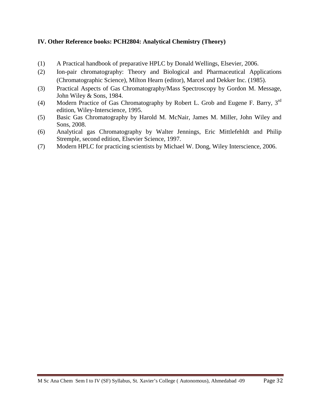### **IV. Other Reference books: PCH2804: Analytical Chemistry (Theory)**

- (1) A Practical handbook of preparative HPLC by Donald Wellings, Elsevier, 2006.
- (2) Ion-pair chromatography: Theory and Biological and Pharmaceutical Applications (Chromatographic Science), Milton Hearn (editor), Marcel and Dekker Inc. (1985).
- (3) Practical Aspects of Gas Chromatography/Mass Spectroscopy by Gordon M. Message, John Wiley & Sons, 1984.
- (4) Modern Practice of Gas Chromatography by Robert L. Grob and Eugene F. Barry, 3rd edition, Wiley-Interscience, 1995.
- (5) Basic Gas Chromatography by Harold M. McNair, James M. Miller, John Wiley and Sons, 2008.
- (6) Analytical gas Chromatography by Walter Jennings, Eric Mittlefehldt and Philip Stremple, second edition, Elsevier Science, 1997.
- (7) Modern HPLC for practicing scientists by Michael W. Dong, Wiley Interscience, 2006.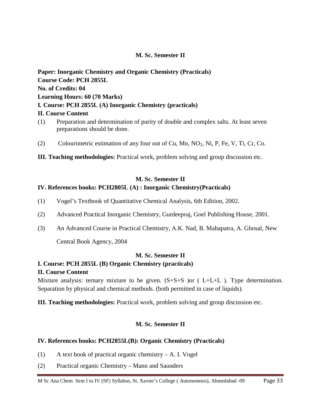### **M. Sc. Semester II**

# **Paper: Inorganic Chemistry and Organic Chemistry (Practicals) Course Code: PCH 2855L No. of Credits: 04 Learning Hours: 60 (70 Marks) I. Course: PCH 2855L (A) Inorganic Chemistry (practicals) II. Course Content**

- (1) Preparation and determination of purity of double and complex salts. At least seven preparations should be done.
- (2) Colourimetric estimation of any four out of Cu, Mn, NO2, Ni, P, Fe, V, Ti, Cr, Co.
- **III. Teaching methodologies:** Practical work, problem solving and group discussion etc.

#### **M. Sc. Semester II**

#### **IV. References books: PCH2805L (A) : Inorganic Chemistry(Practicals)**

- (1) Vogel's Textbook of Quantitative Chemical Analysis, 6th Edition, 2002.
- (2) Advanced Practical Inorganic Chemistry, Gurdeepraj, Goel Publishing House, 2001.
- (3) An Advanced Course in Practical Chemistry, A.K. Nad, B. Mahapatra, A. Ghosal, New

Central Book Agency, 2004

#### **M. Sc. Semester II**

### **I. Course: PCH 2855L (B) Organic Chemistry (practicals)**

#### **II. Course Content**

Mixture analysis: ternary mixture to be given.  $(S+S+S)$  or (L+L+L). Type determination. Separation by physical and chemical methods. (both permitted in case of liquids).

**III. Teaching methodologies:** Practical work, problem solving and group discussion etc.

### **M. Sc. Semester II**

#### **IV. References books: PCH2855L(B): Organic Chemistry (Practicals)**

- (1) A text book of practical organic chemistry A. I. Vogel
- (2) Practical organic Chemistry Mann and Saunders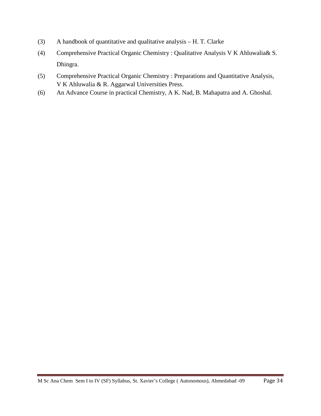- (3) A handbook of quantitative and qualitative analysis H. T. Clarke
- (4) Comprehensive Practical Organic Chemistry : Qualitative Analysis V K Ahluwalia& S. Dhingra.
- (5) Comprehensive Practical Organic Chemistry : Preparations and Quantitative Analysis, V K Ahluwalia & R. Aggarwal Universities Press.
- (6) An Advance Course in practical Chemistry, A K. Nad, B. Mahapatra and A. Ghoshal.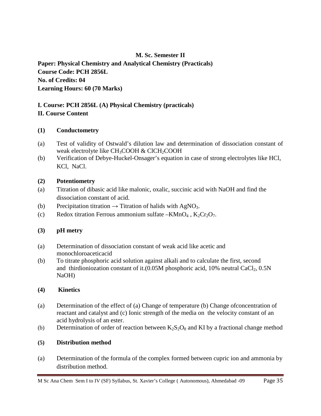# **M. Sc. Semester II**

**Paper: Physical Chemistry and Analytical Chemistry (Practicals) Course Code: PCH 2856L No. of Credits: 04 Learning Hours: 60 (70 Marks)**

### **I. Course: PCH 2856L (A) Physical Chemistry (practicals) II. Course Content**

### **(1) Conductometry**

- (a) Test of validity of Ostwald's dilution law and determination of dissociation constant of weak electrolyte like CH<sub>3</sub>COOH & ClCH<sub>2</sub>COOH
- (b) Verification of Debye-Huckel-Onsager's equation in case of strong electrolytes like HCl, KCl, NaCl.

# **(2) Potentiometry**

- (a) Titration of dibasic acid like malonic, oxalic, succinic acid with NaOH and find the dissociation constant of acid.
- (b) Precipitation titration  $\rightarrow$  Titration of halids with AgNO<sub>3</sub>.
- (c) Redox titration Ferrous ammonium sulfate  $KMnO_4$ ,  $K_2Cr_2O_7$ .

### **(3) pH metry**

- (a) Determination of dissociation constant of weak acid like acetic and monochloroaceticacid
- (b) To titrate phosphoric acid solution against alkali and to calculate the first, second and thirdioniozation constant of it. $(0.05M$  phosphoric acid, 10% neutral CaCl<sub>2</sub>, 0.5N NaOH)

### **(4) Kinetics**

- (a) Determination of the effect of (a) Change of temperature (b) Change ofconcentration of reactant and catalyst and (c) Ionic strength of the media on the velocity constant of an acid hydrolysis of an ester.
- (b) Determination of order of reaction between  $K_2S_2O_8$  and KI by a fractional change method

# **(5) Distribution method**

(a) Determination of the formula of the complex formed between cupric ion and ammonia by distribution method.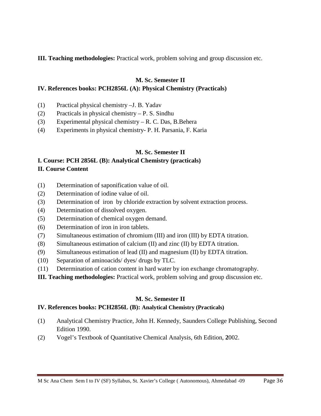**III. Teaching methodologies:** Practical work, problem solving and group discussion etc.

#### **M. Sc. Semester II**

#### **IV. References books: PCH2856L (A): Physical Chemistry (Practicals)**

- (1) Practical physical chemistry –J. B. Yadav
- (2) Practicals in physical chemistry P. S. Sindhu
- (3) Experimental physical chemistry R. C. Das, B.Behera
- (4) Experiments in physical chemistry- P. H. Parsania, F. Karia

#### **M. Sc. Semester II**

# **I. Course: PCH 2856L (B): Analytical Chemistry (practicals)**

### **II. Course Content**

- (1) Determination of saponification value of oil.
- (2) Determination of iodine value of oil.
- (3) Determination of iron by chloride extraction by solvent extraction process.
- (4) Determination of dissolved oxygen.
- (5) Determination of chemical oxygen demand.
- (6) Determination of iron in iron tablets.
- (7) Simultaneous estimation of chromium (III) and iron (III) by EDTA titration.
- (8) Simultaneous estimation of calcium (II) and zinc (II) by EDTA titration.
- (9) Simultaneous estimation of lead (II) and magnesium (II) by EDTA titration.
- (10) Separation of aminoacids/ dyes/ drugs by TLC.
- (11) Determination of cation content in hard water by ion exchange chromatography.

**III. Teaching methodologies:** Practical work, problem solving and group discussion etc.

### **M. Sc. Semester II**

#### **IV. References books: PCH2856L (B): Analytical Chemistry (Practicals)**

- (1) Analytical Chemistry Practice, John H. Kennedy, Saunders College Publishing, Second Edition 1990.
- (2) Vogel's Textbook of Quantitative Chemical Analysis, 6th Edition, **2**002.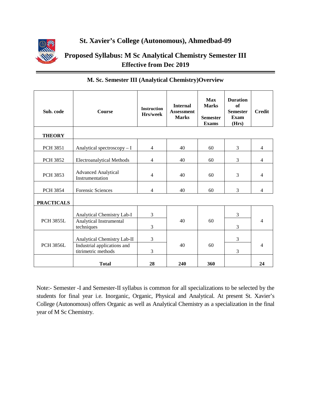

# **St. Xavier's College (Autonomous), Ahmedbad-09**

# **Proposed Syllabus: M Sc Analytical Chemistry Semester III Effective from Dec 2019**

| Sub. code         | <b>Course</b>                                                       | <b>Instruction</b><br>Hrs/week | <b>Internal</b><br><b>Assessment</b><br><b>Marks</b> | <b>Max</b><br><b>Marks</b><br><b>Semester</b><br><b>Exams</b> | <b>Duration</b><br>of<br><b>Semester</b><br>Exam<br>(Hrs) | <b>Credit</b>  |
|-------------------|---------------------------------------------------------------------|--------------------------------|------------------------------------------------------|---------------------------------------------------------------|-----------------------------------------------------------|----------------|
| <b>THEORY</b>     |                                                                     |                                |                                                      |                                                               |                                                           |                |
| <b>PCH 3851</b>   | Analytical spectroscopy - I                                         | $\overline{4}$                 | 40                                                   | 60                                                            | 3                                                         | $\overline{4}$ |
| <b>PCH 3852</b>   | <b>Electroanalytical Methods</b>                                    | $\overline{4}$                 | 40                                                   | 60                                                            | 3                                                         | $\overline{4}$ |
| <b>PCH 3853</b>   | <b>Advanced Analytical</b><br>Instrumentation                       | $\overline{4}$                 | 40                                                   | 60                                                            | 3                                                         | $\overline{4}$ |
| <b>PCH 3854</b>   | <b>Forensic Sciences</b>                                            | 4                              | 40                                                   | 60                                                            | 3                                                         | $\overline{4}$ |
| <b>PRACTICALS</b> |                                                                     |                                |                                                      |                                                               |                                                           |                |
| <b>PCH 3855L</b>  | Analytical Chemistry Lab-I<br>Analytical Instrumental<br>techniques | 3<br>3                         | 40                                                   | 60                                                            | 3<br>3                                                    | $\overline{4}$ |
| <b>PCH 3856L</b>  | Analytical Chemistry Lab-II<br>Industrial applications and          | 3                              | 40                                                   | 60                                                            | 3                                                         | 4              |
|                   | titrimetric methods                                                 | 3                              |                                                      |                                                               | 3                                                         |                |
|                   | <b>Total</b>                                                        | 28                             | 240                                                  | 360                                                           |                                                           | 24             |

# **M. Sc. Semester III (Analytical Chemistry)Overview**

Note:- Semester -I and Semester-II syllabus is common for all specializations to be selected by the students for final year i.e. Inorganic, Organic, Physical and Analytical. At present St. Xavier's College (Autonomous) offers Organic as well as Analytical Chemistry as a specialization in the final year of M Sc Chemistry.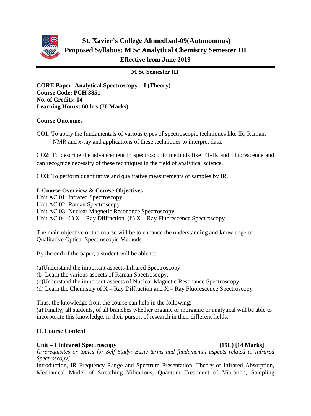

# **St. Xavier's College Ahmedbad-09(Autonomous) Proposed Syllabus: M Sc Analytical Chemistry Semester III Effective from June 2019**

**M Sc Semester III**

**CORE Paper: Analytical Spectroscopy – I (Theory) Course Code: PCH 3851 No. of Credits: 04 Learning Hours: 60 hrs (70 Marks)**

### **Course Outcomes**

CO1: To apply the fundamentals of various types of spectroscopic techniques like IR, Raman, NMR and x-ray and applications of these techniques to interpret data.

CO2: To describe the advancement in spectroscopic methods like FT-IR and Fluorescence and can recognize necessity of these techniques in the field of analytical science.

CO3: To perform quantitative and qualitative measurements of samples by IR.

### **I. Course Overview & Course Objectives**

Unit AC 01: Infrared Spectroscopy Unit AC 02: Raman Spectroscopy Unit AC 03: Nuclear Magnetic Resonance Spectroscopy Unit AC 04: (i)  $X - Ray$  Diffraction, (ii)  $X - Ray$  Fluorescence Spectroscopy

The main objective of the course will be to enhance the understanding and knowledge of Qualitative Optical Spectroscopic Methods

By the end of the paper, a student will be able to:

(a)Understand the important aspects Infrared Spectroscopy

(b) Learn the various aspects of Raman Spectroscopy.

(c)Understand the important aspects of Nuclear Magnetic Resonance Spectroscopy

(d) Learn the Chemistry of  $X - Ray$  Diffraction and  $X - Ray$  Fluorescence Spectroscopy

Thus, the knowledge from the course can help in the following:

(a) Finally, all students, of all branches whether organic or inorganic or analytical will be able to incorporate this knowledge, in their pursuit of research in their different fields.

# **II. Course Content**

#### **Unit – I Infrared Spectroscopy (15L) [14 Marks]**

*[Prerequisites or topics for Self Study: Basic terms and fundamental aspects related to Infrared Spectroscopy]*

Introduction, IR Frequency Range and Spectrum Presentation, Theory of Infrared Absorption, Mechanical Model of Stretching Vibrations, Quantum Treatment of Vibration, Sampling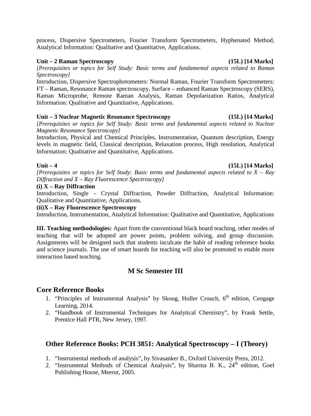process, Dispersive Spectrometers, Fourier Transform Spectrometers, Hyphenated Method, Analytical Information: Qualitative and Quantitative, Applications.

#### **Unit – 2 Raman Spectroscopy (15L) [14 Marks]**

*[Prerequisites or topics for Self Study: Basic terms and fundamental aspects related to Raman Spectroscopy]*

Introduction, Dispersive Spectrophotometers: Normal Raman, Fourier Transform Spectrometers: FT – Raman, Resonance Raman spectroscopy, Surface – enhanced Raman Spectroscopy (SERS), Raman Microprobe, Remote Raman Analysis, Raman Depolarization Ratios, Analytical Information: Qualitative and Quantitative, Applications.

#### **Unit – 3 Nuclear Magnetic Resonance Spectroscopy (15L) [14 Marks]**

*[Prerequisites or topics for Self Study: Basic terms and fundamental aspects related to Nuclear Magnetic Resonance Spectroscopy]*

Introduction, Physical and Chemical Principles, Instrumentation, Quantum description, Energy levels in magnetic field, Classical description, Relaxation process, High resolution, Analytical Information: Qualitative and Quantitative, Applications.

#### **Unit – 4 (15L) [14 Marks]**

*[Prerequisites or topics for Self Study: Basic terms and fundamental aspects related to X – Ray Diffraction and X – Ray Fluorescence Spectroscopy]* 

#### **(i) X – Ray Diffraction**

Introduction, Single – Crystal Diffraction, Powder Diffraction, Analytical Information: Qualitative and Quantitative, Applications.

#### **(ii)X – Ray Fluorescence Spectroscopy**

Introduction, Instrumentation, Analytical Information: Qualitative and Quantitative, Applications

**III. Teaching methodologies:** Apart from the conventional black board teaching, other modes of teaching that will be adopted are power points, problem solving, and group discussion. Assignments will be designed such that students inculcate the habit of reading reference books and science journals. The use of smart boards for teaching will also be promoted to enable more interaction based teaching.

# **M Sc Semester III**

#### **Core Reference Books**

- 1. "Principles of Instrumental Analysis" by Skoog, Holler Crouch, 6<sup>th</sup> edition, Cengage Learning, 2014.
- 2. "Handbook of Instrumental Techniques for Analytical Chemistry", by Frank Settle, Prentice Hall PTR, New Jersey, 1997.

# **Other Reference Books: PCH 3851: Analytical Spectroscopy – I (Theory)**

- 1. "Instrumental methods of analysis", by Sivasanker B., Oxford University Press, 2012.
- 2. "Instrumental Methods of Chemical Analysis", by Sharma B. K., 24<sup>th</sup> edition, Goel Publishing House, Meerut, 2005.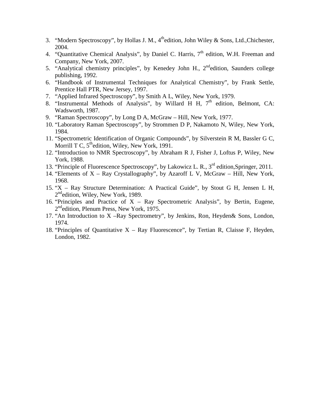- 3. "Modern Spectroscopy", by Hollas J. M.,  $4^{\text{th}}$ edition, John Wiley & Sons, Ltd., Chichester, 2004.
- 4. "Quantitative Chemical Analysis", by Daniel C. Harris,  $7<sup>th</sup>$  edition, W.H. Freeman and Company, New York, 2007.
- 5. "Analytical chemistry principles", by Kenedey John H., 2<sup>nd</sup>edition, Saunders college publishing, 1992.
- 6. "Handbook of Instrumental Techniques for Analytical Chemistry", by Frank Settle, Prentice Hall PTR, New Jersey, 1997.
- 7. "Applied Infrared Spectroscopy", by Smith A L, Wiley, New York, 1979.
- 8. "Instrumental Methods of Analysis", by Willard H H,  $7<sup>th</sup>$  edition, Belmont, CA: Wadsworth, 1987.
- 9. "Raman Spectroscopy", by Long D A, McGraw Hill, New York, 1977.
- 10. "Laboratory Raman Spectroscopy", by Strommen D P, Nakamoto N, Wiley, New York, 1984.
- 11. "Spectrometric Identification of Organic Compounds", by Silverstein R M, Bassler G C, Morrill T C,  $5^{\text{th}}$ edition, Wiley, New York, 1991.
- 12. "Introduction to NMR Spectroscopy", by Abraham R J, Fisher J, Loftus P, Wiley, New York, 1988.
- 13. "Principle of Fluorescence Spectroscopy", by Lakowicz L. R., 3<sup>rd</sup> edition, Springer, 2011.
- 14. "Elements of X Ray Crystallography", by Azaroff L V, McGraw Hill, New York, 1968.
- 15. "X Ray Structure Determination: A Practical Guide", by Stout G H, Jensen L H, 2<sup>nd</sup>edition, Wiley, New York, 1989.
- 16. "Principles and Practice of  $X Ray$  Spectrometric Analysis", by Bertin, Eugene, 2<sup>nd</sup>edition, Plenum Press, New York, 1975.
- 17. "An Introduction to X –Ray Spectrometry", by Jenkins, Ron, Heyden& Sons, London, 1974.
- 18. "Principles of Quantitative  $X Ray$  Fluorescence", by Tertian R, Claisse F, Heyden, London, 1982.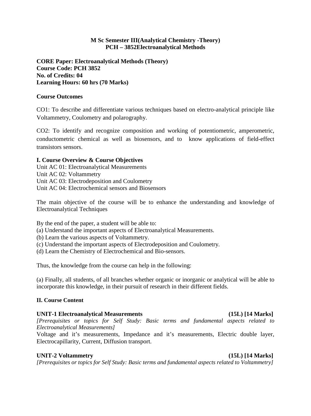#### **M Sc Semester III(Analytical Chemistry -Theory) PCH – 3852Electroanalytical Methods**

**CORE Paper: Electroanalytical Methods (Theory) Course Code: PCH 3852 No. of Credits: 04 Learning Hours: 60 hrs (70 Marks)**

#### **Course Outcomes**

CO1: To describe and differentiate various techniques based on electro-analytical principle like Voltammetry, Coulometry and polarography.

CO2: To identify and recognize composition and working of potentiometric, amperometric, conductometric chemical as well as biosensors, and to know applications of field-effect transistors sensors.

#### **I. Course Overview & Course Objectives**

Unit AC 01: Electroanalytical Measurements Unit AC 02: Voltammetry Unit AC 03: Electrodeposition and Coulometry Unit AC 04: Electrochemical sensors and Biosensors

The main objective of the course will be to enhance the understanding and knowledge of Electroanalytical Techniques

By the end of the paper, a student will be able to:

- (a) Understand the important aspects of Electroanalytical Measurements.
- (b) Learn the various aspects of Voltammetry.
- (c) Understand the important aspects of Electrodeposition and Coulometry.
- (d) Learn the Chemistry of Electrochemical and Bio-sensors.

Thus, the knowledge from the course can help in the following:

(a) Finally, all students, of all branches whether organic or inorganic or analytical will be able to incorporate this knowledge, in their pursuit of research in their different fields.

#### **II. Course Content**

#### **UNIT-1 Electroanalytical Measurements (15L) [14 Marks]**

*[Prerequisites or topics for Self Study: Basic terms and fundamental aspects related to Electroanalytical Measurements]*

Voltage and it's measurements, Impedance and it's measurements, Electric double layer, Electrocapillarity, Current, Diffusion transport.

#### **UNIT-2 Voltammetry (15L) [14 Marks]**

*[Prerequisites or topics for Self Study: Basic terms and fundamental aspects related to Voltammetry]*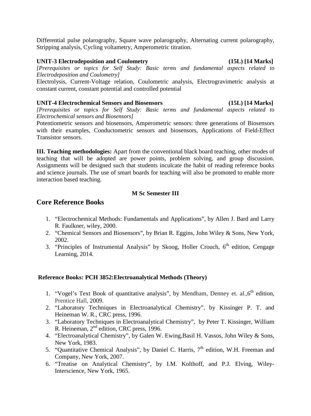Differential pulse polarography, Square wave polarography, Alternating current polarography, Stripping analysis, Cycling voltametry, Amperometric titration.

#### **UNIT-3 Electrodeposition and Coulometry (15L) [14 Marks]**

*[Prerequisites or topics for Self Study: Basic terms and fundamental aspects related to Electrodeposition and Coulometry]*

Electrolysis, Current-Voltage relation, Coulometric analysis, Electrogravimetric analysis at constant current, constant potential and controlled potential

#### **UNIT-4 Electrochemical Sensors and Biosensors (15L) [14 Marks]**

*[Prerequisites or topics for Self Study: Basic terms and fundamental aspects related to Electrochemical sensors and Biosensors]*

Potentiometric sensors and biosensors, Amperometric sensors: three generations of Biosensors with their examples, Conductometric sensors and biosensors, Applications of Field-Effect Transistor sensors.

**III. Teaching methodologies:** Apart from the conventional black board teaching, other modes of teaching that will be adopted are power points, problem solving, and group discussion. Assignments will be designed such that students inculcate the habit of reading reference books and science journals. The use of smart boards for teaching will also be promoted to enable more interaction based teaching.

# **M Sc Semester III**

# **Core Reference Books**

- 1. "Electrochemical Methods: Fundamentals and Applications", by Allen J. Bard and Larry R. Faulkner, wiley, 2000.
- 2. "Chemical Sensors and Biosensors", by Brian R. Eggins, John Wiley & Sons, New York, 2002.
- 3. "Principles of Instrumental Analysis" by Skoog, Holler Crouch, 6<sup>th</sup> edition, Cengage Learning, 2014.

#### **Reference Books: PCH 3852:Electroanalytical Methods (Theory)**

- 1. "Vogel's Text Book of quantitative analysis", by Mendham, Denney et. al., $6<sup>th</sup>$  edition, Prentice Hall, 2009.
- 2. "Laboratory Techniques in Electroanalytical Chemistry", by Kissinger P. T. and Heineman W. R., CRC press, 1996.
- 3. "Laboratory Techniques in Electroanalytical Chemistry", by Peter T. Kissinger, William R. Heineman, 2<sup>nd</sup> edition, CRC press, 1996.
- 4. "Electroanalytical Chemistry", by Galen W. Ewing,Basil H. Vassos, John Wiley & Sons, New York, 1983.
- 5. "Quantitative Chemical Analysis", by Daniel C. Harris,  $7<sup>th</sup>$  edition, W.H. Freeman and Company, New York, 2007.
- 6. "Treatise on Analytical Chemistry", by I.M. Kolthoff, and P.J. Elving, Wiley-Interscience, New York, 1965.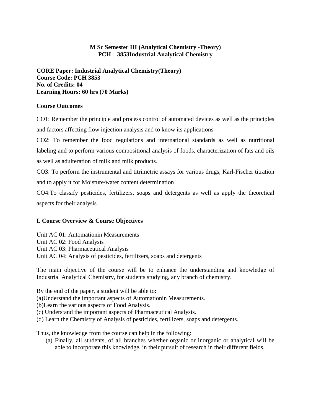## **M Sc Semester III (Analytical Chemistry -Theory) PCH – 3853Industrial Analytical Chemistry**

**CORE Paper: Industrial Analytical Chemistry(Theory) Course Code: PCH 3853 No. of Credits: 04 Learning Hours: 60 hrs (70 Marks)**

#### **Course Outcomes**

CO1: Remember the principle and process control of automated devices as well as the principles and factors affecting flow injection analysis and to know its applications

CO2: To remember the food regulations and international standards as well as nutritional labeling and to perform various compositional analysis of foods, characterization of fats and oils as well as adulteration of milk and milk products.

CO3: To perform the instrumental and titrimetric assays for various drugs, Karl-Fischer titration and to apply it for Moisture/water content determination

CO4:To classify pesticides, fertilizers, soaps and detergents as well as apply the theoretical aspects for their analysis

#### **I. Course Overview & Course Objectives**

Unit AC 01: Automationin Measurements Unit AC 02: Food Analysis Unit AC 03: Pharmaceutical Analysis Unit AC 04: Analysis of pesticides, fertilizers, soaps and detergents

The main objective of the course will be to enhance the understanding and knowledge of Industrial Analytical Chemistry, for students studying, any branch of chemistry.

By the end of the paper, a student will be able to:

(a)Understand the important aspects of Automationin Measurements.

(b)Learn the various aspects of Food Analysis.

(c) Understand the important aspects of Pharmaceutical Analysis.

(d) Learn the Chemistry of Analysis of pesticides, fertilizers, soaps and detergents.

Thus, the knowledge from the course can help in the following:

(a) Finally, all students, of all branches whether organic or inorganic or analytical will be able to incorporate this knowledge, in their pursuit of research in their different fields.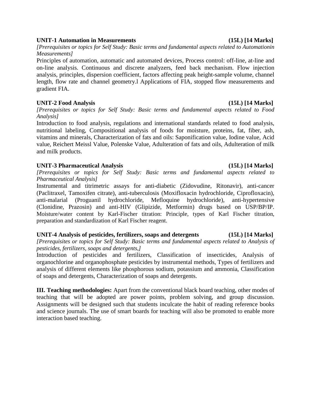#### **UNIT-1 Automation in Measurements (15L) [14 Marks]**

*[Prerequisites or topics for Self Study: Basic terms and fundamental aspects related to Automationin Measurements]* 

Principles of automation, automatic and automated devices, Process control: off-line, at-line and on-line analysis. Continuous and discrete analyzers, feed back mechanism. Flow injection analysis, principles, dispersion coefficient, factors affecting peak height-sample volume, channel length, flow rate and channel geometry.l Applications of FIA, stopped flow measurements and gradient FIA.

#### **UNIT-2 Food Analysis (15L) [14 Marks]**

*[Prerequisites or topics for Self Study: Basic terms and fundamental aspects related to Food Analysis]* 

Introduction to food analysis, regulations and international standards related to food analysis, nutritional labeling, Compositional analysis of foods for moisture, proteins, fat, fiber, ash, vitamins and minerals, Characterization of fats and oils: Saponification value, Iodine value, Acid value, Reichert Meissl Value, Polenske Value, Adulteration of fats and oils, Adulteration of milk and milk products.

#### **UNIT-3 Pharmaceutical Analysis (15L) [14 Marks]**

*[Prerequisites or topics for Self Study: Basic terms and fundamental aspects related to Pharmaceutical Analysis]* 

Instrumental and titrimetric assays for anti-diabetic (Zidovudine, Ritonavir), anti-cancer (Paclitraxel, Tamoxifen citrate), anti-tuberculosis (Moxifloxacin hydrochloride, Ciprofloxacin), anti-malarial (Proguanil hydrochloride, Mefloquine hydrochloride), anti-hypertensive (Clonidine, Prazosin) and anti-HIV (Glipizide, Metformin) drugs based on USP/BP/IP. Moisture/water content by Karl-Fischer titration: Principle, types of Karl Fischer titration, preparation and standardization of Karl Fischer reagent.

#### **UNIT-4 Analysis of pesticides, fertilizers, soaps and detergents (15L) [14 Marks]**

*[Prerequisites or topics for Self Study: Basic terms and fundamental aspects related to Analysis of pesticides, fertilizers, soaps and detergents,]* 

Introduction of pesticides and fertilizers, Classification of insecticides, Analysis of organochlorine and organophosphate pesticides by instrumental methods, Types of fertilizers and analysis of different elements like phosphorous sodium, potassium and ammonia, Classification of soaps and detergents, Characterization of soaps and detergents.

**III. Teaching methodologies:** Apart from the conventional black board teaching, other modes of teaching that will be adopted are power points, problem solving, and group discussion. Assignments will be designed such that students inculcate the habit of reading reference books and science journals. The use of smart boards for teaching will also be promoted to enable more interaction based teaching.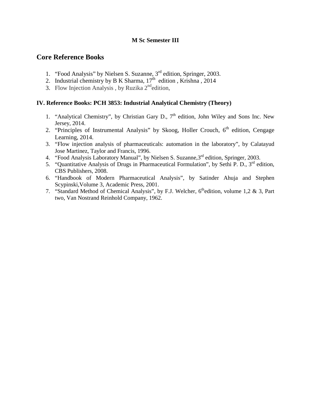### **M Sc Semester III**

# **Core Reference Books**

- 1. "Food Analysis" by Nielsen S. Suzanne, 3<sup>rd</sup> edition, Springer, 2003.
- 2. Industrial chemistry by B K Sharma,  $17<sup>th</sup>$  edition, Krishna, 2014
- 3. Flow Injection Analysis, by Ruzika  $2<sup>nd</sup>$ edition,

#### **IV. Reference Books: PCH 3853: Industrial Analytical Chemistry (Theory)**

- 1. "Analytical Chemistry", by Christian Gary D.,  $7<sup>th</sup>$  edition, John Wiley and Sons Inc. New Jersey, 2014.
- 2. "Principles of Instrumental Analysis" by Skoog, Holler Crouch,  $6<sup>th</sup>$  edition, Cengage Learning, 2014.
- 3. "Flow injection analysis of pharmaceuticals: automation in the laboratory", by Calatayud Jose Martinez, Taylor and Francis, 1996.
- 4. "Food Analysis Laboratory Manual", by Nielsen S. Suzanne, 3<sup>rd</sup> edition, Springer, 2003.
- 5. "Quantitative Analysis of Drugs in Pharmaceutical Formulation", by Sethi P. D., 3<sup>rd</sup> edition, CBS Publishers, 2008.
- 6. "Handbook of Modern Pharmaceutical Analysis", by Satinder Ahuja and Stephen Scypinski,Volume 3, Academic Press, 2001.
- 7. "Standard Method of Chemical Analysis", by F.J. Welcher,  $6<sup>th</sup>$ edition, volume 1,2 & 3, Part two, Van Nostrand Reinhold Company, 1962.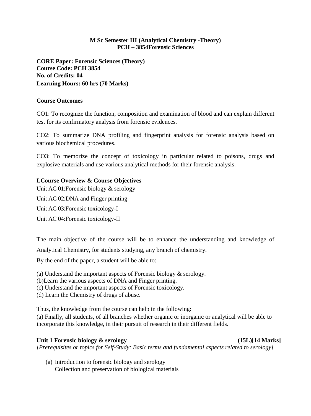#### **M Sc Semester III (Analytical Chemistry -Theory) PCH – 3854Forensic Sciences**

**CORE Paper: Forensic Sciences (Theory) Course Code: PCH 3854 No. of Credits: 04 Learning Hours: 60 hrs (70 Marks)**

#### **Course Outcomes**

CO1: To recognize the function, composition and examination of blood and can explain different test for its confirmatory analysis from forensic evidences.

CO2: To summarize DNA profiling and fingerprint analysis for forensic analysis based on various biochemical procedures.

CO3: To memorize the concept of toxicology in particular related to poisons, drugs and explosive materials and use various analytical methods for their forensic analysis.

#### **I.Course Overview & Course Objectives**

Unit AC 01:Forensic biology & serology

Unit AC 02:DNA and Finger printing

Unit AC 03:Forensic toxicology-I

Unit AC 04:Forensic toxicology-II

The main objective of the course will be to enhance the understanding and knowledge of

Analytical Chemistry, for students studying, any branch of chemistry.

By the end of the paper, a student will be able to:

(a) Understand the important aspects of Forensic biology & serology.

- (b)Learn the various aspects of DNA and Finger printing.
- (c) Understand the important aspects of Forensic toxicology.
- (d) Learn the Chemistry of drugs of abuse.

Thus, the knowledge from the course can help in the following:

(a) Finally, all students, of all branches whether organic or inorganic or analytical will be able to incorporate this knowledge, in their pursuit of research in their different fields.

#### **Unit 1 Forensic biology & serology (15L)[14 Marks]**

*[Prerequisites or topics for Self-Study: Basic terms and fundamental aspects related to serology]*

(a) Introduction to forensic biology and serology Collection and preservation of biological materials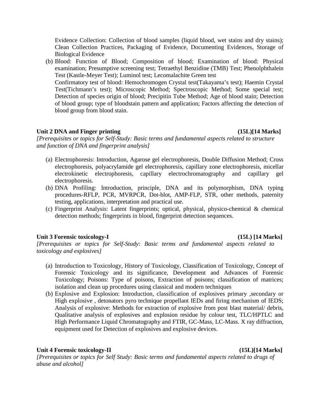Evidence Collection: Collection of blood samples (liquid blood, wet stains and dry stains); Clean Collection Practices, Packaging of Evidence, Documenting Evidences, Storage of Biological Evidence

(b) Blood: Function of Blood; Composition of blood; Examination of blood: Physical examination; Presumptive screening test; Tetraethyl Benzidine (TMB) Test; Phenolphthalein Test (Kastle-Meyer Test); Luminol test; Lecomalachite Green test Confirmatory test of blood: Hemochromogen Crystal test(Takayama's test); Haemin Crystal Test(Tichmann's test); Microscopic Method; Spectroscopic Method; Some special test; Detection of species origin of blood; Precipitin Tube Method; Age of blood stain; Detection of blood group; type of bloodstain pattern and application; Factors affecting the detection of blood group from blood stain.

#### Unit 2 DNA and Finger printing (15L)<sup>[14 Marks]</sup>

*[Prerequisites or topics for Self-Study: Basic terms and fundamental aspects related to structure and function of DNA and fingerprint analysis]*

- (a) Electrophoresis: Introduction, Agarose gel electrophoresis, Double Diffusion Method; Cross electrophoresis, polyacrylamide gel electrophoresis, capillary zone electrophoresis, micellar electrokinetic electrophoresis, capillary electrochromatography and capillary gel electrophoresis.
- (b) DNA Profiling: Introduction, principle, DNA and its polymorphism, DNA typing procedures-RFLP, PCR, MVRPCR, Dot-blot, AMP-FLP, STR, other methods, paternity testing, applications, interpretation and practical use.
- (c) Fingerprint Analysis: Latent fingerprints; optical, physical, physico-chemical & chemical detection methods; fingerprints in blood, fingerprint detection sequences.

#### **Unit 3 Forensic toxicology-I (15L) [14 Marks]**

*[Prerequisites or topics for Self-Study: Basic terms and fundamental aspects related to toxicology and explosives]*

- (a) Introduction to Toxicology, History of Toxicology, Classification of Toxicology, Concept of Forensic Toxicology and its significance, Development and Advances of Forensic Toxicology; Poisons: Type of poisons, Extraction of poisons; classification of matrices; isolation and clean up procedures using classical and modern techniques
- (b) Explosive and Explosion: Introduction, classification of explosives primary ,secondary or High explosive, detonators pyro technique propellant IEDs and firing mechanism of IEDS; Analysis of explosive: Methods for extraction of explosive from post blast material/ debris, Qualitative analysis of explosives and explosion residue by colour test, TLC/HPTLC and High Performance Liquid Chromatography and FTIR, GC-Mass, LC-Mass. X ray diffraction, equipment used for Detection of explosives and explosive devices.

#### **Unit 4 Forensic toxicology-II (15L)[14 Marks]**

*[Prerequisites or topics for Self Study: Basic terms and fundamental aspects related to drugs of abuse and alcohol]*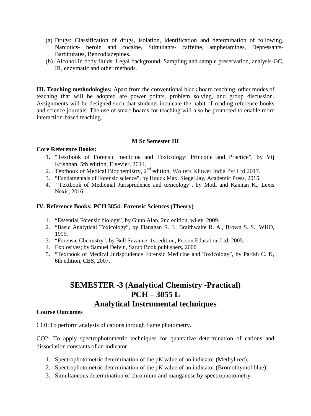- (a) Drugs: Classification of drugs, isolation, identification and determination of following, Narcotics- heroin and cocaine, Stimulants- caffeine, amphetamines, Depressants-Barbiturates, Benzodiazepines.
- (b) Alcohol in body fluids: Legal background, Sampling and sample preservation, analysis-GC, IR, enzymatic and other methods.

**III. Teaching methodologies:** Apart from the conventional black board teaching, other modes of teaching that will be adopted are power points, problem solving, and group discussion. Assignments will be designed such that students inculcate the habit of reading reference books and science journals. The use of smart boards for teaching will also be promoted to enable more interaction-based teaching.

#### **M Sc Semester III**

#### **Core Reference Books:**

- 1. "Textbook of Forensic medicine and Toxicology: Principle and Practice", by Vij Krishnan, 5th edition, Elsevier, 2014.
- 2. Textbook of Medical Biochemistry, 2<sup>nd</sup> edition, Wolters Kluwer India Pvt Ltd, 2017.
- 3. "Fundamentals of Forensic science", by Houck Max, Siegel Jay, Academic Press, 2015.
- 4. "Textbook of Medicinal Jurisprudence and toxicology", by Modi and Kannan K., Lexis Nexis, 2016.

#### **IV. Reference Books: PCH 3854: Forensic Sciences (Theory)**

- 1. "Essential Forensic biology", by Gunn Alan, 2nd edition, wiley, 2009.
- 2. "Basic Analytical Toxicology", by Flanagan R. J., Braithwaite R. A., Brown S. S., WHO, 1995.
- 3. "Forensic Chemistry", by Bell Suzanne, 1st edition, Person Education Ltd, 2005.
- 4. Explosives; by Samuel Delvin, Sarup Book publishers, 2000
- 5. "Textbook of Medical Jurisprudence Forensic Medicine and Toxicology", by Parikh C. K, 6th edition, CBS, 2007.

# **SEMESTER -3 (Analytical Chemistry -Practical) PCH – 3855 L Analytical Instrumental techniques**

#### **Course Outcomes**

CO1:To perform analysis of cations through flame photometry.

CO2: To apply spectrophotometric techniques for quantative determination of cations and dissociation constants of an indicator

- 1. Spectrophotometric determination of the p*K* value of an indicator (Methyl red).
- 2. Spectrophotometric determination of the p*K* value of an indicator (Bromothymol blue).
- 3. Simultaneous determination of chromium and manganese by spectrophotometry.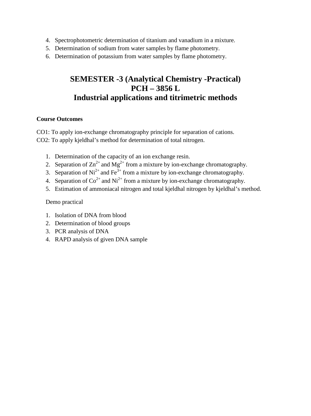- 4. Spectrophotometric determination of titanium and vanadium in a mixture.
- 5. Determination of sodium from water samples by flame photometry.
- 6. Determination of potassium from water samples by flame photometry.

# **SEMESTER -3 (Analytical Chemistry -Practical) PCH – 3856 L Industrial applications and titrimetric methods**

#### **Course Outcomes**

CO1: To apply ion-exchange chromatography principle for separation of cations. CO2: To apply kjeldhal's method for determination of total nitrogen.

- 1. Determination of the capacity of an ion exchange resin.
- 2. Separation of  $\text{Zn}^{2+}$  and  $\text{Mg}^{2+}$  from a mixture by ion-exchange chromatography.
- 3. Separation of  $Ni^{2+}$  and Fe<sup>3+</sup> from a mixture by ion-exchange chromatography.
- 4. Separation of  $\text{Co}^{2+}$  and  $\text{Ni}^{2+}$  from a mixture by ion-exchange chromatography.
- 5. Estimation of ammoniacal nitrogen and total kjeldhal nitrogen by kjeldhal's method.

Demo practical

- 1. Isolation of DNA from blood
- 2. Determination of blood groups
- 3. PCR analysis of DNA
- 4. RAPD analysis of given DNA sample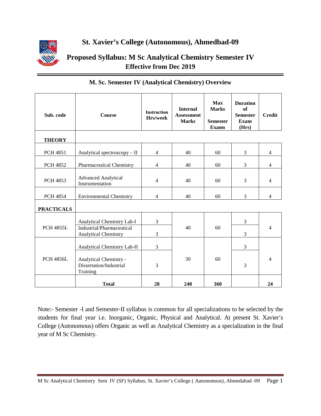

**St. Xavier's College (Autonomous), Ahmedbad-09**

**Proposed Syllabus: M Sc Analytical Chemistry Semester IV Effective from Dec 2019**

| Sub. code         | <b>Course</b>                                                                   | <b>Instruction</b><br>Hrs/week | <b>Internal</b><br><b>Assessment</b><br><b>Marks</b> | Max<br><b>Marks</b><br><b>Semester</b><br><b>Exams</b> | <b>Duration</b><br>of<br><b>Semester</b><br>Exam<br>(Hrs) | <b>Credit</b>  |
|-------------------|---------------------------------------------------------------------------------|--------------------------------|------------------------------------------------------|--------------------------------------------------------|-----------------------------------------------------------|----------------|
| <b>THEORY</b>     |                                                                                 |                                |                                                      |                                                        |                                                           |                |
| <b>PCH 4851</b>   | Analytical spectroscopy - II                                                    | $\overline{4}$                 | 40                                                   | 60                                                     | 3                                                         | $\overline{4}$ |
| <b>PCH 4852</b>   | <b>Pharmaceutical Chemistry</b>                                                 | $\overline{4}$                 | 40                                                   | 60                                                     | 3                                                         | $\overline{4}$ |
| <b>PCH 4853</b>   | <b>Advanced Analytical</b><br>Instrumentation                                   | $\overline{4}$                 | 40                                                   | 60                                                     | 3                                                         | $\overline{4}$ |
| <b>PCH 4854</b>   | <b>Environmental Chemistry</b>                                                  | $\overline{4}$                 | 40                                                   | 60                                                     | 3                                                         | $\overline{4}$ |
| <b>PRACTICALS</b> |                                                                                 |                                |                                                      |                                                        |                                                           |                |
| <b>PCH 4855L</b>  | Analytical Chemistry Lab-I<br>Industrial/Pharmaceutical<br>Analytical Chemistry | 3<br>3                         | 40                                                   | 60                                                     | 3<br>3                                                    | $\overline{4}$ |
|                   | Analytical Chemistry Lab-II                                                     | 3                              |                                                      |                                                        | 3                                                         |                |
| <b>PCH 4856L</b>  | Analytical Chemistry -<br>Dissertation/Industrial<br>Training                   | 3                              | 30                                                   | 60                                                     | 3                                                         | 4              |
|                   | <b>Total</b>                                                                    | 28                             | 240                                                  | 360                                                    |                                                           | 24             |

### **M. Sc. Semester IV (Analytical Chemistry) Overview**

Note:- Semester -I and Semester-II syllabus is common for all specializations to be selected by the students for final year i.e. Inorganic, Organic, Physical and Analytical. At present St. Xavier's College (Autonomous) offers Organic as well as Analytical Chemistry as a specialization in the final year of M Sc Chemistry.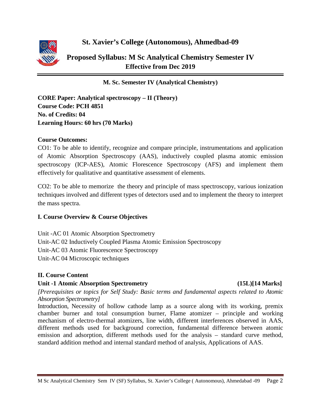

# **St. Xavier's College (Autonomous), Ahmedbad-09**

**Proposed Syllabus: M Sc Analytical Chemistry Semester IV Effective from Dec 2019**

**M. Sc. Semester IV (Analytical Chemistry)**

**CORE Paper: Analytical spectroscopy – II (Theory) Course Code: PCH 4851 No. of Credits: 04 Learning Hours: 60 hrs (70 Marks)**

### **Course Outcomes:**

CO1: To be able to identify, recognize and compare principle, instrumentations and application of Atomic Absorption Spectroscopy (AAS), inductively coupled plasma atomic emission spectroscopy (ICP-AES), Atomic Florescence Spectroscopy (AFS) and implement them effectively for qualitative and quantitative assessment of elements.

CO2: To be able to memorize the theory and principle of mass spectroscopy, various ionization techniques involved and different types of detectors used and to implement the theory to interpret the mass spectra.

# **I. Course Overview & Course Objectives**

Unit -AC 01 Atomic Absorption Spectrometry Unit-AC 02 Inductively Coupled Plasma Atomic Emission Spectroscopy Unit-AC 03 Atomic Fluorescence Spectroscopy Unit-AC 04 Microscopic techniques

# **II. Course Content**

### **Unit -1 Atomic Absorption Spectrometry (15L)[14 Marks]**

*[Prerequisites or topics for Self Study: Basic terms and fundamental aspects related to Atomic Absorption Spectrometry]*

Introduction, Necessity of hollow cathode lamp as a source along with its working, premix chamber burner and total consumption burner, Flame atomizer – principle and working mechanism of electro-thermal atomizers, line width, different interferences observed in AAS, different methods used for background correction, fundamental difference between atomic emission and adsorption, different methods used for the analysis – standard curve method, standard addition method and internal standard method of analysis, Applications of AAS.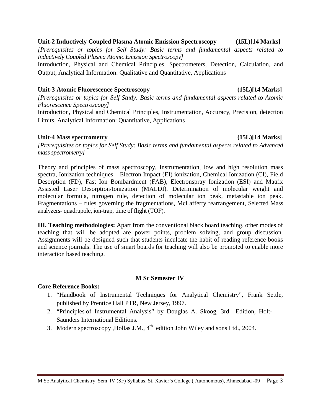#### M Sc Analytical Chemistry Sem IV (SF) Syllabus, St. Xavier's College ( Autonomous), Ahmedabad -09 Page 3

#### **Unit-2 Inductively Coupled Plasma Atomic Emission Spectroscopy (15L)[14 Marks]**

*[Prerequisites or topics for Self Study: Basic terms and fundamental aspects related to Inductively Coupled Plasma Atomic Emission Spectroscopy]*

Introduction, Physical and Chemical Principles, Spectrometers, Detection, Calculation, and Output, Analytical Information: Qualitative and Quantitative, Applications

#### **Unit-3 Atomic Fluorescence Spectroscopy (15L)[14 Marks]**

*[Prerequisites or topics for Self Study: Basic terms and fundamental aspects related to Atomic Fluorescence Spectroscopy]* Introduction, Physical and Chemical Principles, Instrumentation, Accuracy, Precision, detection

Limits, Analytical Information: Quantitative, Applications

#### Unit-4 Mass spectrometry (15L)[14 Marks]

*[Prerequisites or topics for Self Study: Basic terms and fundamental aspects related to Advanced mass spectrometry]*

Theory and principles of mass spectroscopy, Instrumentation, low and high resolution mass spectra, Ionization techniques – Electron Impact (EI) ionization, Chemical Ionization (CI), Field Desorption (FD), Fast Ion Bombardment (FAB), Electronspray Ionization (ESI) and Matrix Assisted Laser Desorption/Ionization (MALDI). Determination of molecular weight and molecular formula, nitrogen rule, detection of molecular ion peak, metastable ion peak. Fragmentations – rules governing the fragmentations, McLafferty rearrangement, Selected Mass analyzers- quadrupole, ion-trap, time of flight (TOF).

**III. Teaching methodologies:** Apart from the conventional black board teaching, other modes of teaching that will be adopted are power points, problem solving, and group discussion. Assignments will be designed such that students inculcate the habit of reading reference books and science journals. The use of smart boards for teaching will also be promoted to enable more interaction based teaching.

#### **M Sc Semester IV**

#### **Core Reference Books:**

- 1. "Handbook of Instrumental Techniques for Analytical Chemistry", Frank Settle, published by Prentice Hall PTR, New Jersey, 1997.
- 2. "Principles of Instrumental Analysis" by Douglas A. Skoog, 3rd Edition, Holt-Saunders International Editions.
- 3. Modern spectroscopy ,Hollas J.M., 4<sup>th</sup> edition John Wiley and sons Ltd., 2004.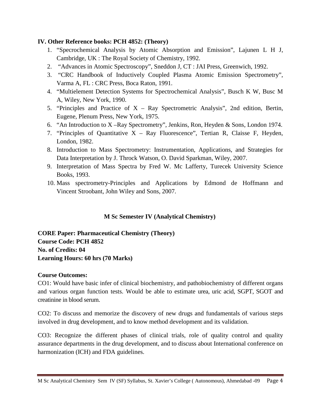### **IV. Other Reference books: PCH 4852: (Theory)**

- 1. "Specrochemical Analysis by Atomic Absorption and Emission", Lajunen L H J, Cambridge, UK : The Royal Society of Chemistry, 1992.
- 2. "Advances in Atomic Spectroscopy", Sneddon J, CT : JAI Press, Greenwich, 1992.
- 3. "CRC Handbook of Inductively Coupled Plasma Atomic Emission Spectrometry", Varma A, FL : CRC Press, Boca Raton, 1991.
- 4. "Multielement Detection Systems for Spectrochemical Analysis", Busch K W, Busc M A, Wiley, New York, 1990.
- 5. "Principles and Practice of X Ray Spectrometric Analysis", 2nd edition, Bertin, Eugene, Plenum Press, New York, 1975.
- 6. "An Introduction to X –Ray Spectrometry", Jenkins, Ron, Heyden & Sons, London 1974.
- 7. "Principles of Quantitative  $X Ray$  Fluorescence", Tertian R, Claisse F, Heyden, London, 1982.
- 8. Introduction to Mass Spectrometry: Instrumentation, Applications, and Strategies for Data Interpretation by J. Throck Watson, O. David Sparkman, Wiley, 2007.
- 9. Interpretation of Mass Spectra by Fred W. Mc Lafferty, Turecek University Science Books, 1993.
- 10. Mass spectrometry-Principles and Applications by Edmond de Hoffmann and Vincent Stroobant, John Wiley and Sons, 2007.

# **M Sc Semester IV (Analytical Chemistry)**

**CORE Paper: Pharmaceutical Chemistry (Theory) Course Code: PCH 4852 No. of Credits: 04 Learning Hours: 60 hrs (70 Marks)**

# **Course Outcomes:**

CO1: Would have basic infer of clinical biochemistry, and pathobiochemistry of different organs and various organ function tests. Would be able to estimate urea, uric acid, SGPT, SGOT and creatinine in blood serum.

CO2: To discuss and memorize the discovery of new drugs and fundamentals of various steps involved in drug development, and to know method development and its validation.

CO3: Recognize the different phases of clinical trials, role of quality control and quality assurance departments in the drug development, and to discuss about International conference on harmonization (ICH) and FDA guidelines.

M Sc Analytical Chemistry Sem IV (SF) Syllabus, St. Xavier's College ( Autonomous), Ahmedabad -09 Page 4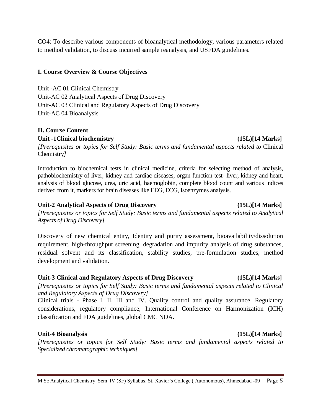*[Prerequisites or topics for Self Study: Basic terms and fundamental aspects related to Clinical and Regulatory Aspects of Drug Discovery]*

Clinical trials - Phase I, II, III and IV. Quality control and quality assurance. Regulatory considerations, regulatory compliance, International Conference on Harmonization (ICH) classification and FDA guidelines, global CMC NDA.

# **Unit-4 Bioanalysis (15L)[14 Marks]**

*[Prerequisites or topics for Self Study: Basic terms and fundamental aspects related to Specialized chromatographic techniques]*

#### M Sc Analytical Chemistry Sem IV (SF) Syllabus, St. Xavier's College ( Autonomous), Ahmedabad -09 Page 5

### **I. Course Overview & Course Objectives**

Unit -AC 01 Clinical Chemistry Unit-AC 02 Analytical Aspects of Drug Discovery Unit-AC 03 Clinical and Regulatory Aspects of Drug Discovery Unit-AC 04 Bioanalysis

### **II. Course Content**

**Unit -1Clinical biochemistry (15L)[14 Marks]**

*[Prerequisites or topics for Self Study: Basic terms and fundamental aspects related to* Clinical Chemistry*]*

CO4: To describe various components of bioanalytical methodology, various parameters related

to method validation, to discuss incurred sample reanalysis, and USFDA guidelines.

Introduction to biochemical tests in clinical medicine, criteria for selecting method of analysis, pathobiochemistry of liver, kidney and cardiac diseases, organ function test- liver, kidney and heart, analysis of blood glucose, urea, uric acid, haemoglobin, complete blood count and various indices derived from it, markers for brain diseases like EEG, ECG, Isoenzymes analysis.

#### **Unit-2 Analytical Aspects of Drug Discovery (15L)[14 Marks]**

*[Prerequisites or topics for Self Study: Basic terms and fundamental aspects related to Analytical Aspects of Drug Discovery]*

Discovery of new chemical entity, Identity and purity assessment, bioavailability/dissolution requirement, high-throughput screening, degradation and impurity analysis of drug substances, residual solvent and its classification, stability studies, pre-formulation studies, method development and validation.

# **Unit-3 Clinical and Regulatory Aspects of Drug Discovery (15L)[14 Marks]**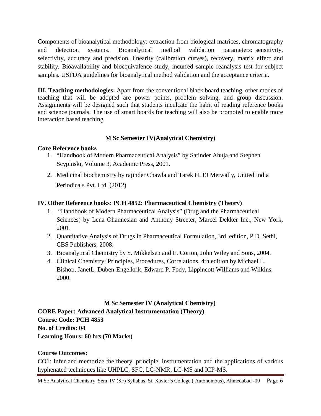Components of bioanalytical methodology: extraction from biological matrices, chromatography and detection systems. Bioanalytical method validation parameters: sensitivity, selectivity, accuracy and precision, linearity (calibration curves), recovery, matrix effect and stability. Bioavailability and bioequivalence study, incurred sample reanalysis test for subject samples. USFDA guidelines for bioanalytical method validation and the acceptance criteria.

**III. Teaching methodologies:** Apart from the conventional black board teaching, other modes of teaching that will be adopted are power points, problem solving, and group discussion. Assignments will be designed such that students inculcate the habit of reading reference books and science journals. The use of smart boards for teaching will also be promoted to enable more interaction based teaching.

# **M Sc Semester IV(Analytical Chemistry)**

### **Core Reference books**

- 1. "Handbook of Modern Pharmaceutical Analysis" by Satinder Ahuja and Stephen Scypinski, Volume 3, Academic Press, 2001.
- 2. Medicinal biochemistry by rajinder Chawla and [Tarek H. EI Metwally,](https://www.amazon.in/s/ref=dp_byline_sr_book_2?ie=UTF8&field-author=Tarek+H.+EI+Metwally&search-alias=stripbooks) United India Periodicals Pvt. Ltd. (2012)

# **IV. Other Reference books: PCH 4852: Pharmaceutical Chemistry (Theory)**

- 1. "Handbook of Modern Pharmaceutical Analysis" (Drug and the Pharmaceutical Sciences) by Lena Ohannesian and Anthony Streeter, Marcel Dekker Inc., New York, 2001.
- 2. Quantitative Analysis of Drugs in Pharmaceutical Formulation, 3rd edition, P.D. Sethi, CBS Publishers, 2008.
- 3. Bioanalytical Chemistry by S. Mikkelsen and E. Corton, John Wiley and Sons, 2004.
- 4. Clinical Chemistry: Principles, Procedures, Correlations, 4th edition by Michael L. Bishop, JanetL. Duben-Engelkrik, Edward P. Fody, Lippincott Williams and Wilkins, 2000.

### **M Sc Semester IV (Analytical Chemistry)**

**CORE Paper: Advanced Analytical Instrumentation (Theory) Course Code: PCH 4853 No. of Credits: 04 Learning Hours: 60 hrs (70 Marks)**

# **Course Outcomes:**

CO1: Infer and memorize the theory, principle, instrumentation and the applications of various hyphenated techniques like UHPLC, SFC, LC-NMR, LC-MS and ICP-MS.

M Sc Analytical Chemistry Sem IV (SF) Syllabus, St. Xavier's College ( Autonomous), Ahmedabad -09 Page 6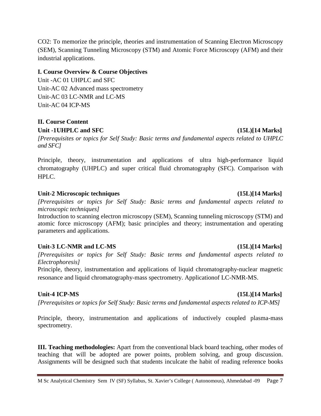CO2: To memorize the principle, theories and instrumentation of Scanning Electron Microscopy (SEM), Scanning Tunneling Microscopy (STM) and Atomic Force Microscopy (AFM) and their industrial applications.

### **I. Course Overview & Course Objectives**

Unit -AC 01 UHPLC and SFC Unit-AC 02 Advanced mass spectrometry Unit-AC 03 LC-NMR and LC-MS Unit-AC 04 ICP-MS

### **II. Course Content** Unit -1UHPLC and SFC (15L)[14 Marks]

*[Prerequisites or topics for Self Study: Basic terms and fundamental aspects related to UHPLC and SFC]*

Principle, theory, instrumentation and applications of ultra high-performance liquid chromatography (UHPLC) and super critical fluid chromatography (SFC). Comparison with HPLC.

### **Unit-2 Microscopic techniques (15L)[14 Marks]**

*[Prerequisites or topics for Self Study: Basic terms and fundamental aspects related to microscopic techniques]*

Introduction to scanning electron microscopy (SEM), Scanning tunneling microscopy (STM) and atomic force microscopy (AFM); basic principles and theory; instrumentation and operating parameters and applications.

### **Unit-3 LC-NMR and LC-MS (15L)[14 Marks]**

*[Prerequisites or topics for Self Study: Basic terms and fundamental aspects related to Electrophoresis]*

Principle, theory, instrumentation and applications of liquid chromatography-nuclear magnetic resonance and liquid chromatography-mass spectrometry. Applicationof LC-NMR-MS.

### **Unit-4 ICP-MS (15L)[14 Marks]**

*[Prerequisites or topics for Self Study: Basic terms and fundamental aspects related to ICP-MS]*

Principle, theory, instrumentation and applications of inductively coupled plasma-mass spectrometry.

**III. Teaching methodologies:** Apart from the conventional black board teaching, other modes of teaching that will be adopted are power points, problem solving, and group discussion. Assignments will be designed such that students inculcate the habit of reading reference books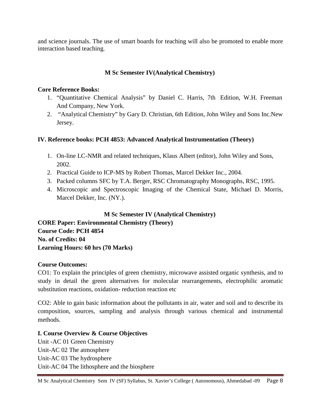and science journals. The use of smart boards for teaching will also be promoted to enable more interaction based teaching.

# **M Sc Semester IV(Analytical Chemistry)**

### **Core Reference Books:**

- 1. "Quantitative Chemical Analysis" by Daniel C. Harris, 7th Edition, W.H. Freeman And Company, New York.
- 2. "Analytical Chemistry" by Gary D. Christian, 6th Edition, John Wiley and Sons Inc.New Jersey.

# **IV. Reference books: PCH 4853: Advanced Analytical Instrumentation (Theory)**

- 1. On-line LC-NMR and related techniques, Klaus Albert (editor), John Wiley and Sons, 2002.
- 2. Practical Guide to ICP-MS by Robert Thomas, Marcel Dekker Inc., 2004.
- 3. Packed columns SFC by T.A. Berger, RSC Chromatography Monographs, RSC, 1995.
- 4. Microscopic and Spectroscopic Imaging of the Chemical State, Michael D. Morris, Marcel Dekker, Inc. (NY.).

# **M Sc Semester IV (Analytical Chemistry)**

**CORE Paper: Environmental Chemistry (Theory) Course Code: PCH 4854 No. of Credits: 04 Learning Hours: 60 hrs (70 Marks)**

# **Course Outcomes:**

CO1: To explain the principles of green chemistry, microwave assisted organic synthesis, and to study in detail the green alternatives for molecular rearrangements, electrophilic aromatic substitution reactions, oxidation- reduction reaction etc

CO2: Able to gain basic information about the pollutants in air, water and soil and to describe its composition, sources, sampling and analysis through various chemical and instrumental methods.

### **I. Course Overview & Course Objectives**

Unit -AC 01 Green Chemistry Unit-AC 02 The atmosphere Unit-AC 03 The hydrosphere Unit-AC 04 The lithosphere and the biosphere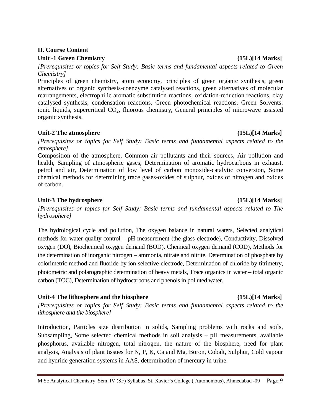# **II. Course Content**

# **Unit -1 Green Chemistry (15L)[14 Marks]**

*[Prerequisites or topics for Self Study: Basic terms and fundamental aspects related to Green Chemistry]*

Principles of green chemistry, atom economy, principles of green organic synthesis, green alternatives of organic synthesis-coenzyme catalysed reactions, green alternatives of molecular rearrangements, electrophilic aromatic substitution reactions, oxidation-reduction reactions, clay catalysed synthesis, condensation reactions, Green photochemical reactions. Green Solvents: ionic liquids, supercritical CO<sub>2</sub>, fluorous chemistry, General principles of microwave assisted organic synthesis.

# Unit-2 The atmosphere (15L)[14 Marks]

*[Prerequisites or topics for Self Study: Basic terms and fundamental aspects related to the atmosphere]*

Composition of the atmosphere, Common air pollutants and their sources, Air pollution and health, Sampling of atmospheric gases, Determination of aromatic hydrocarbons in exhaust, petrol and air, Determination of low level of carbon monoxide-catalytic conversion, Some chemical methods for determining trace gases-oxides of sulphur, oxides of nitrogen and oxides of carbon.

# **Unit-3 The hydrosphere (15L)[14 Marks]**

*[Prerequisites or topics for Self Study: Basic terms and fundamental aspects related to The hydrosphere]*

The hydrological cycle and pollution, The oxygen balance in natural waters, Selected analytical methods for water quality control – pH measurement (the glass electrode), Conductivity, Dissolved oxygen (DO), Biochemical oxygen demand (BOD), Chemical oxygen demand (COD), Methods for the determination of inorganic nitrogen – ammonia, nitrate and nitrite, Determination of phosphate by colorimetric method and fluoride by ion selective electrode, Determination of chloride by titrimetry, photometric and polarographic determination of heavy metals, Trace organics in water – total organic carbon (TOC), Determination of hydrocarbons and phenols in polluted water.

# Unit-4 The lithosphere and the biosphere (15L)[14 Marks]

*[Prerequisites or topics for Self Study: Basic terms and fundamental aspects related to the lithosphere and the biosphere]*

Introduction, Particles size distribution in solids, Sampling problems with rocks and soils, Subsampling, Some selected chemical methods in soil analysis – pH measurements, available phosphorus, available nitrogen, total nitrogen, the nature of the biosphere, need for plant analysis, Analysis of plant tissues for N, P, K, Ca and Mg, Boron, Cobalt, Sulphur, Cold vapour and hydride generation systems in AAS, determination of mercury in urine.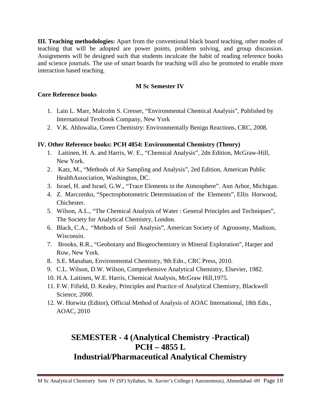**III. Teaching methodologies:** Apart from the conventional black board teaching, other modes of teaching that will be adopted are power points, problem solving, and group discussion. Assignments will be designed such that students inculcate the habit of reading reference books and science journals. The use of smart boards for teaching will also be promoted to enable more interaction based teaching.

### **M Sc Semester IV**

### **Core Reference books**

- 1. Lain L. Marr, Malcolm S. Cresser, "Environmental Chemical Analysis", Published by International Textbook Company, New York
- 2. V.K. Ahluwalia, Green Chemistry: Environmentally Benign Reactions, CRC, 2008.

# **IV. Other Reference books: PCH 4854: Environmental Chemistry (Theory)**

- 1. Laitinen, H. A. and Harris, W. E., "Chemical Analysis", 2dn Edition, McGraw-Hill, New York.
- 2. Katz, M., "Methods of Air Sampling and Analysis", 2ed Edition, American Public HealthAssociation, Washington, DC.
- 3. Israel, H. and Israel, G.W., "Trace Elements in the Atmosphere". Ann Arbor, Michigan.
- 4. Z. Marczenko, "Spectrophotometric Determination of the Elements", Ellis Horwood, Chichester.
- 5. Wilson, A.L., "The Chemical Analysis of Water : General Principles and Techniques", The Society for Analytical Chemistry, London.
- 6. Black, C.A., "Methods of Soil Analysis", American Society of Agronomy, Madison, Wisconsin.
- 7. Brooks, R.R., "Geobotany and Biogeochemistry in Mineral Exploration", Harper and Row, New York.
- 8. S.E. Manahan, Environmental Chemistry, 9th Edn., CRC Press, 2010.
- 9. C.L. Wilson, D.W. Wilson, Comprehensive Analytical Chemistry, Elsevier, 1982.
- 10. H.A. Laitinen, W.E. Harris, Chemical Analysis, McGraw Hill,1975.
- 11. F.W. Fifield, D. Kealey, Principles and Practice of Analytical Chemistry, Blackwell Science, 2000.
- 12. W. Horwitz (Editor), Official Method of Analysis of AOAC International, 18th Edn., AOAC, 2010

# **SEMESTER - 4 (Analytical Chemistry -Practical) PCH – 4855 L Industrial/Pharmaceutical Analytical Chemistry**